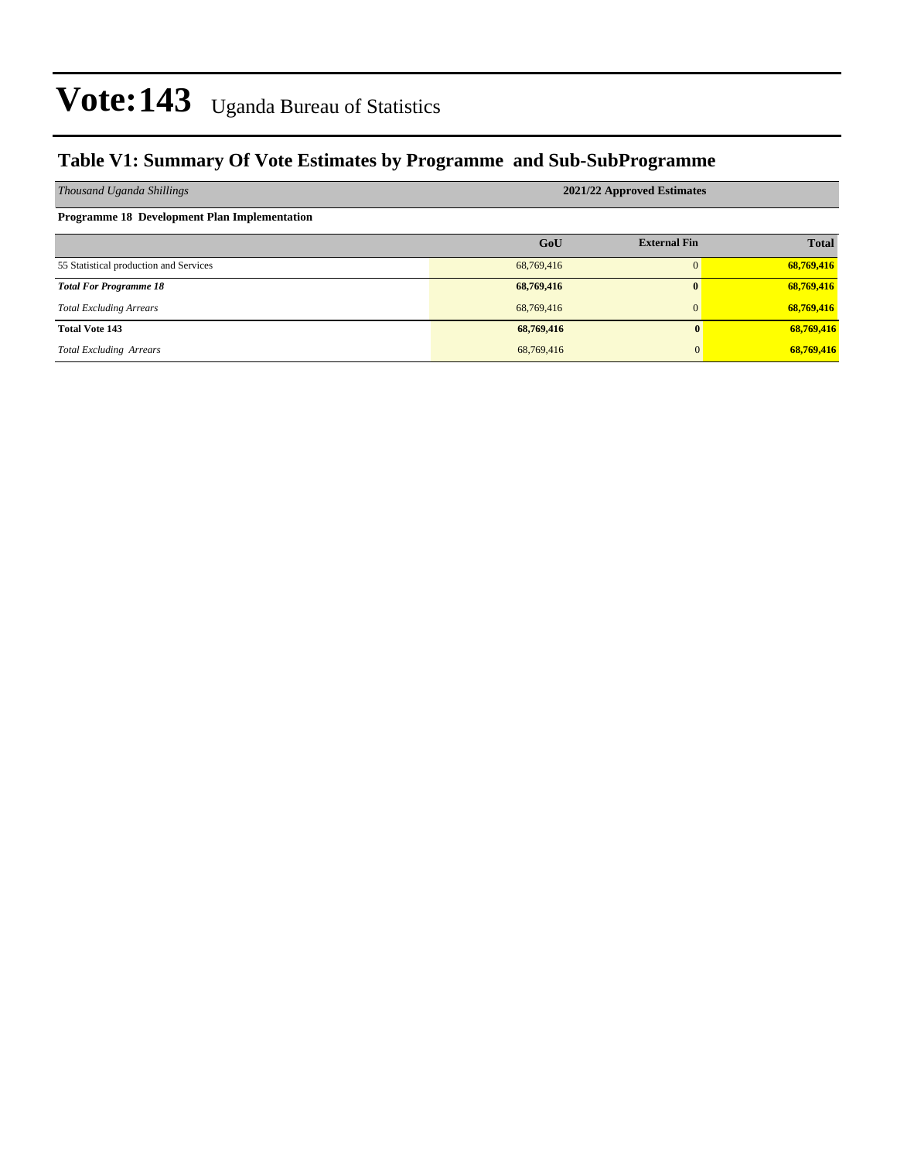### **Table V1: Summary Of Vote Estimates by Programme and Sub-SubProgramme**

| Thousand Uganda Shillings                           | 2021/22 Approved Estimates |                     |              |  |  |  |  |  |
|-----------------------------------------------------|----------------------------|---------------------|--------------|--|--|--|--|--|
| <b>Programme 18 Development Plan Implementation</b> |                            |                     |              |  |  |  |  |  |
|                                                     | GoU                        | <b>External Fin</b> | <b>Total</b> |  |  |  |  |  |
| 55 Statistical production and Services              | 68,769,416                 |                     | 68,769,416   |  |  |  |  |  |
| <b>Total For Programme 18</b>                       | 68,769,416                 | $\mathbf{0}$        | 68,769,416   |  |  |  |  |  |
| <b>Total Excluding Arrears</b>                      | 68,769,416                 | $\overline{0}$      | 68,769,416   |  |  |  |  |  |
| <b>Total Vote 143</b>                               | 68,769,416                 | 0                   | 68,769,416   |  |  |  |  |  |
| <b>Total Excluding Arrears</b>                      | 68,769,416                 | $\overline{0}$      | 68,769,416   |  |  |  |  |  |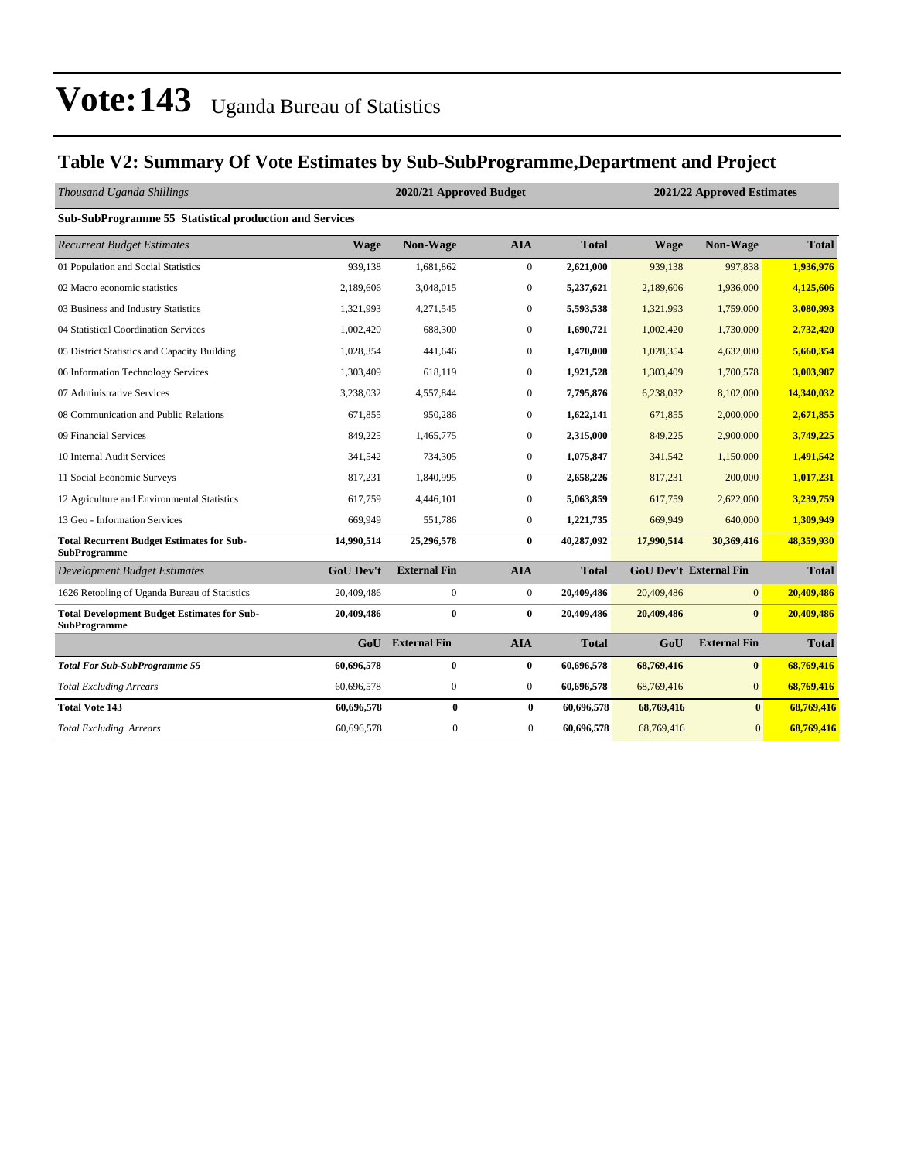### **Table V2: Summary Of Vote Estimates by Sub-SubProgramme,Department and Project**

| Thousand Uganda Shillings                                                 |                  | 2020/21 Approved Budget |                  | 2021/22 Approved Estimates |             |                               |              |
|---------------------------------------------------------------------------|------------------|-------------------------|------------------|----------------------------|-------------|-------------------------------|--------------|
| Sub-SubProgramme 55 Statistical production and Services                   |                  |                         |                  |                            |             |                               |              |
| <b>Recurrent Budget Estimates</b>                                         | <b>Wage</b>      | Non-Wage                | <b>AIA</b>       | <b>Total</b>               | <b>Wage</b> | Non-Wage                      | <b>Total</b> |
| 01 Population and Social Statistics                                       | 939,138          | 1,681,862               | $\boldsymbol{0}$ | 2,621,000                  | 939,138     | 997,838                       | 1,936,976    |
| 02 Macro economic statistics                                              | 2,189,606        | 3,048,015               | $\boldsymbol{0}$ | 5,237,621                  | 2,189,606   | 1,936,000                     | 4,125,606    |
| 03 Business and Industry Statistics                                       | 1,321,993        | 4,271,545               | $\overline{0}$   | 5,593,538                  | 1,321,993   | 1,759,000                     | 3.080.993    |
| 04 Statistical Coordination Services                                      | 1,002,420        | 688,300                 | $\boldsymbol{0}$ | 1,690,721                  | 1,002,420   | 1,730,000                     | 2,732,420    |
| 05 District Statistics and Capacity Building                              | 1,028,354        | 441,646                 | $\mathbf{0}$     | 1,470,000                  | 1,028,354   | 4,632,000                     | 5,660,354    |
| 06 Information Technology Services                                        | 1,303,409        | 618,119                 | $\mathbf{0}$     | 1,921,528                  | 1,303,409   | 1,700,578                     | 3,003,987    |
| 07 Administrative Services                                                | 3,238,032        | 4,557,844               | $\mathbf{0}$     | 7,795,876                  | 6,238,032   | 8,102,000                     | 14,340,032   |
| 08 Communication and Public Relations                                     | 671,855          | 950,286                 | $\boldsymbol{0}$ | 1,622,141                  | 671,855     | 2,000,000                     | 2,671,855    |
| 09 Financial Services                                                     | 849,225          | 1,465,775               | $\mathbf{0}$     | 2,315,000                  | 849,225     | 2,900,000                     | 3,749,225    |
| 10 Internal Audit Services                                                | 341,542          | 734,305                 | $\boldsymbol{0}$ | 1,075,847                  | 341,542     | 1,150,000                     | 1,491,542    |
| 11 Social Economic Surveys                                                | 817,231          | 1,840,995               | $\boldsymbol{0}$ | 2,658,226                  | 817,231     | 200,000                       | 1,017,231    |
| 12 Agriculture and Environmental Statistics                               | 617,759          | 4,446,101               | $\mathbf{0}$     | 5,063,859                  | 617,759     | 2,622,000                     | 3,239,759    |
| 13 Geo - Information Services                                             | 669,949          | 551,786                 | $\boldsymbol{0}$ | 1,221,735                  | 669,949     | 640,000                       | 1,309,949    |
| <b>Total Recurrent Budget Estimates for Sub-</b><br><b>SubProgramme</b>   | 14,990,514       | 25,296,578              | $\bf{0}$         | 40,287,092                 | 17,990,514  | 30,369,416                    | 48,359,930   |
| <b>Development Budget Estimates</b>                                       | <b>GoU Dev't</b> | <b>External Fin</b>     | <b>AIA</b>       | <b>Total</b>               |             | <b>GoU Dev't External Fin</b> | <b>Total</b> |
| 1626 Retooling of Uganda Bureau of Statistics                             | 20,409,486       | $\boldsymbol{0}$        | $\boldsymbol{0}$ | 20,409,486                 | 20,409,486  | $\overline{0}$                | 20,409,486   |
| <b>Total Development Budget Estimates for Sub-</b><br><b>SubProgramme</b> | 20,409,486       | $\bf{0}$                | $\bf{0}$         | 20,409,486                 | 20,409,486  | $\mathbf{0}$                  | 20,409,486   |
|                                                                           | GoU              | <b>External Fin</b>     | <b>AIA</b>       | <b>Total</b>               | GoU         | <b>External Fin</b>           | <b>Total</b> |
| <b>Total For Sub-SubProgramme 55</b>                                      | 60,696,578       | $\bf{0}$                | $\bf{0}$         | 60,696,578                 | 68,769,416  | $\bf{0}$                      | 68,769,416   |
| <b>Total Excluding Arrears</b>                                            | 60,696,578       | $\boldsymbol{0}$        | $\mathbf{0}$     | 60,696,578                 | 68,769,416  | $\overline{0}$                | 68,769,416   |
| <b>Total Vote 143</b>                                                     | 60,696,578       | $\bf{0}$                | $\bf{0}$         | 60,696,578                 | 68,769,416  | $\bf{0}$                      | 68,769,416   |
| <b>Total Excluding Arrears</b>                                            | 60,696,578       | $\boldsymbol{0}$        | $\overline{0}$   | 60,696,578                 | 68,769,416  | $\overline{0}$                | 68.769.416   |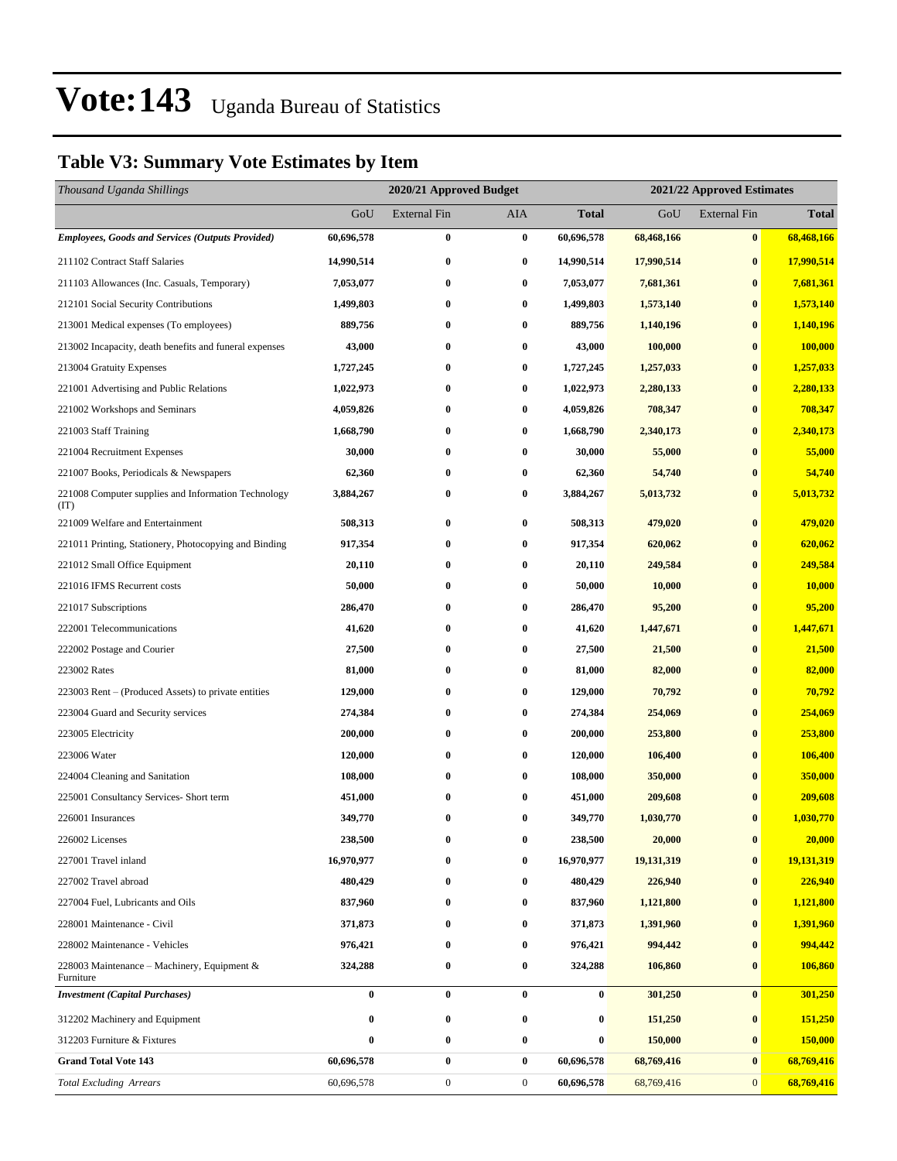### **Table V3: Summary Vote Estimates by Item**

| Thousand Uganda Shillings                                   |            | 2020/21 Approved Budget |                  |              |            | 2021/22 Approved Estimates |                |  |  |
|-------------------------------------------------------------|------------|-------------------------|------------------|--------------|------------|----------------------------|----------------|--|--|
|                                                             | GoU        | External Fin            | AIA              | <b>Total</b> | GoU        | <b>External Fin</b>        | <b>Total</b>   |  |  |
| <b>Employees, Goods and Services (Outputs Provided)</b>     | 60,696,578 | 0                       | $\bf{0}$         | 60,696,578   | 68,468,166 | $\bf{0}$                   | 68,468,166     |  |  |
| 211102 Contract Staff Salaries                              | 14,990,514 | 0                       | $\bf{0}$         | 14,990,514   | 17,990,514 | $\bf{0}$                   | 17,990,514     |  |  |
| 211103 Allowances (Inc. Casuals, Temporary)                 | 7,053,077  | $\bf{0}$                | $\bf{0}$         | 7,053,077    | 7,681,361  | $\bf{0}$                   | 7,681,361      |  |  |
| 212101 Social Security Contributions                        | 1,499,803  | 0                       | $\bf{0}$         | 1,499,803    | 1,573,140  | $\bf{0}$                   | 1,573,140      |  |  |
| 213001 Medical expenses (To employees)                      | 889,756    | 0                       | $\bf{0}$         | 889,756      | 1,140,196  | $\bf{0}$                   | 1,140,196      |  |  |
| 213002 Incapacity, death benefits and funeral expenses      | 43,000     | 0                       | $\bf{0}$         | 43,000       | 100,000    | $\bf{0}$                   | 100,000        |  |  |
| 213004 Gratuity Expenses                                    | 1,727,245  | 0                       | $\bf{0}$         | 1,727,245    | 1,257,033  | $\bf{0}$                   | 1,257,033      |  |  |
| 221001 Advertising and Public Relations                     | 1,022,973  | $\bf{0}$                | $\bf{0}$         | 1,022,973    | 2,280,133  | $\bf{0}$                   | 2,280,133      |  |  |
| 221002 Workshops and Seminars                               | 4,059,826  | 0                       | $\bf{0}$         | 4,059,826    | 708,347    | $\bf{0}$                   | 708,347        |  |  |
| 221003 Staff Training                                       | 1,668,790  | $\bf{0}$                | $\bf{0}$         | 1,668,790    | 2,340,173  | $\bf{0}$                   | 2,340,173      |  |  |
| 221004 Recruitment Expenses                                 | 30,000     | 0                       | $\bf{0}$         | 30,000       | 55,000     | $\bf{0}$                   | 55,000         |  |  |
| 221007 Books, Periodicals & Newspapers                      | 62,360     | 0                       | $\bf{0}$         | 62,360       | 54,740     | $\bf{0}$                   | 54,740         |  |  |
| 221008 Computer supplies and Information Technology<br>(TT) | 3,884,267  | 0                       | $\bf{0}$         | 3,884,267    | 5,013,732  | $\bf{0}$                   | 5,013,732      |  |  |
| 221009 Welfare and Entertainment                            | 508,313    | 0                       | $\bf{0}$         | 508,313      | 479,020    | $\bf{0}$                   | 479,020        |  |  |
| 221011 Printing, Stationery, Photocopying and Binding       | 917,354    | 0                       | $\bf{0}$         | 917,354      | 620,062    | $\bf{0}$                   | 620,062        |  |  |
| 221012 Small Office Equipment                               | 20,110     | $\bf{0}$                | $\bf{0}$         | 20,110       | 249,584    | $\bf{0}$                   | 249,584        |  |  |
| 221016 IFMS Recurrent costs                                 | 50,000     | 0                       | $\bf{0}$         | 50,000       | 10,000     | $\bf{0}$                   | 10,000         |  |  |
| 221017 Subscriptions                                        | 286,470    | 0                       | $\bf{0}$         | 286,470      | 95,200     | $\bf{0}$                   | 95,200         |  |  |
| 222001 Telecommunications                                   | 41,620     | 0                       | $\bf{0}$         | 41,620       | 1,447,671  | $\bf{0}$                   | 1,447,671      |  |  |
| 222002 Postage and Courier                                  | 27,500     | 0                       | $\bf{0}$         | 27,500       | 21,500     | $\bf{0}$                   | 21,500         |  |  |
| 223002 Rates                                                | 81,000     | $\bf{0}$                | $\bf{0}$         | 81,000       | 82,000     | $\bf{0}$                   | 82,000         |  |  |
| 223003 Rent – (Produced Assets) to private entities         | 129,000    | 0                       | $\bf{0}$         | 129,000      | 70,792     | $\bf{0}$                   | 70,792         |  |  |
| 223004 Guard and Security services                          | 274,384    | 0                       | $\bf{0}$         | 274,384      | 254,069    | $\bf{0}$                   | 254,069        |  |  |
| 223005 Electricity                                          | 200,000    | 0                       | $\bf{0}$         | 200,000      | 253,800    | $\bf{0}$                   | 253,800        |  |  |
| 223006 Water                                                | 120,000    | 0                       | $\bf{0}$         | 120,000      | 106,400    | $\bf{0}$                   | 106,400        |  |  |
| 224004 Cleaning and Sanitation                              | 108,000    | 0                       | $\bf{0}$         | 108,000      | 350,000    | $\bf{0}$                   | 350,000        |  |  |
| 225001 Consultancy Services- Short term                     | 451,000    | 0                       | $\bf{0}$         | 451,000      | 209,608    | $\bf{0}$                   | 209,608        |  |  |
| 226001 Insurances                                           | 349,770    | 0                       | $\bf{0}$         | 349,770      | 1,030,770  | $\bf{0}$                   | 1,030,770      |  |  |
| 226002 Licenses                                             | 238,500    | 0                       | $\bf{0}$         | 238,500      | 20,000     | $\pmb{0}$                  | 20,000         |  |  |
| 227001 Travel inland                                        | 16,970,977 | 0                       | $\bf{0}$         | 16,970,977   | 19,131,319 | $\bf{0}$                   | 19,131,319     |  |  |
| 227002 Travel abroad                                        | 480,429    | 0                       | $\bf{0}$         | 480,429      | 226,940    | $\bf{0}$                   | 226,940        |  |  |
| 227004 Fuel, Lubricants and Oils                            | 837,960    | 0                       | $\bf{0}$         | 837,960      | 1,121,800  | $\bf{0}$                   | 1,121,800      |  |  |
| 228001 Maintenance - Civil                                  | 371,873    | 0                       | $\bf{0}$         | 371,873      | 1,391,960  | $\bf{0}$                   | 1,391,960      |  |  |
| 228002 Maintenance - Vehicles                               | 976,421    | 0                       | $\bf{0}$         | 976,421      | 994,442    | $\bf{0}$                   | 994,442        |  |  |
| 228003 Maintenance – Machinery, Equipment $\&$<br>Furniture | 324,288    | 0                       | $\bf{0}$         | 324,288      | 106,860    | $\bf{0}$                   | 106,860        |  |  |
| <b>Investment</b> (Capital Purchases)                       | $\bf{0}$   | 0                       | $\bf{0}$         | $\bf{0}$     | 301,250    | $\bf{0}$                   | 301,250        |  |  |
| 312202 Machinery and Equipment                              | $\bf{0}$   | 0                       | $\bf{0}$         | $\bf{0}$     | 151,250    | $\bf{0}$                   | 151,250        |  |  |
| 312203 Furniture & Fixtures                                 | 0          | 0                       | $\bf{0}$         | $\bf{0}$     | 150,000    | $\bf{0}$                   | <b>150,000</b> |  |  |
| <b>Grand Total Vote 143</b>                                 | 60,696,578 | 0                       | $\bf{0}$         | 60,696,578   | 68,769,416 | $\bf{0}$                   | 68,769,416     |  |  |
| <b>Total Excluding Arrears</b>                              | 60,696,578 | $\boldsymbol{0}$        | $\boldsymbol{0}$ | 60,696,578   | 68,769,416 | $\boldsymbol{0}$           | 68,769,416     |  |  |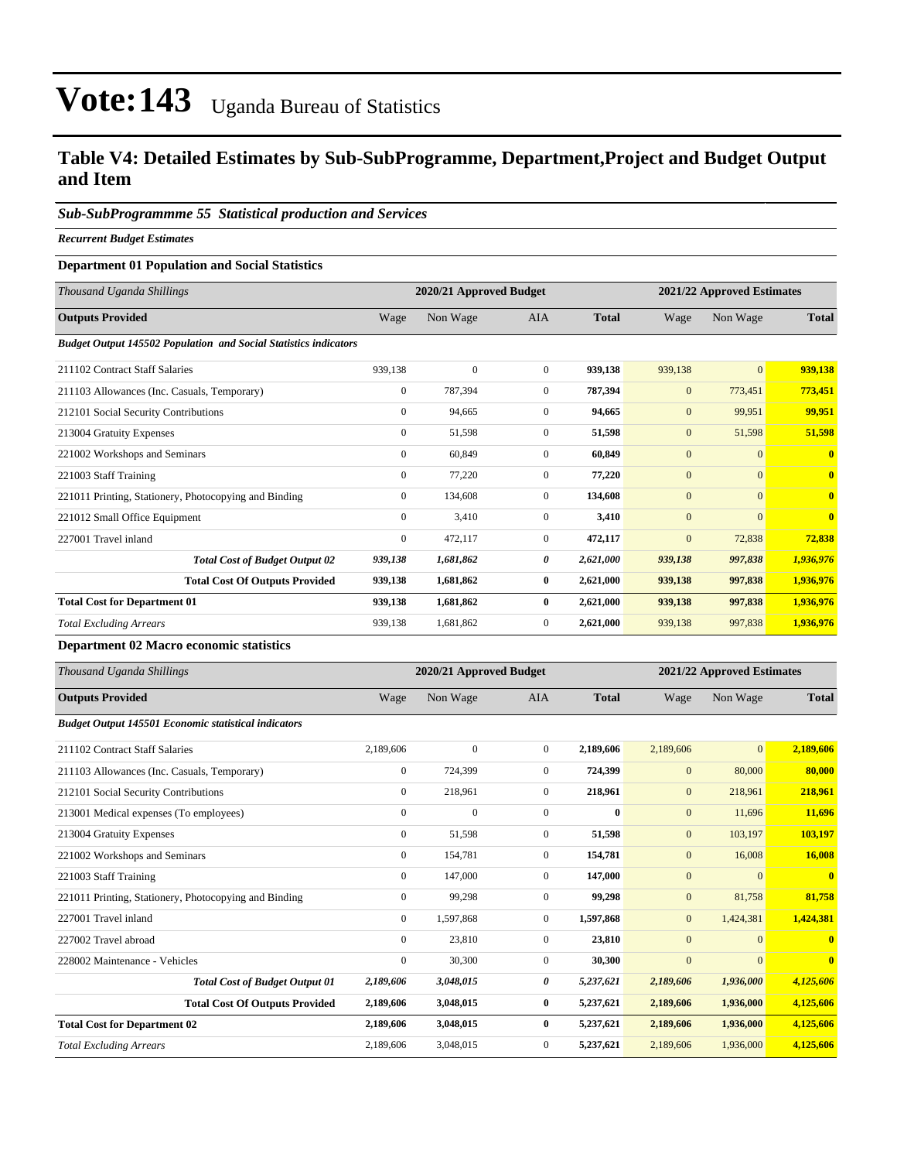### **Table V4: Detailed Estimates by Sub-SubProgramme, Department,Project and Budget Output and Item**

#### *Sub-SubProgrammme 55 Statistical production and Services*

*Recurrent Budget Estimates*

#### **Department 01 Population and Social Statistics**

| Thousand Uganda Shillings                                               |                | 2020/21 Approved Budget |                |              |              | 2021/22 Approved Estimates |                         |  |
|-------------------------------------------------------------------------|----------------|-------------------------|----------------|--------------|--------------|----------------------------|-------------------------|--|
| <b>Outputs Provided</b>                                                 | Wage           | Non Wage                | <b>AIA</b>     | <b>Total</b> | Wage         | Non Wage                   | <b>Total</b>            |  |
| <b>Budget Output 145502 Population and Social Statistics indicators</b> |                |                         |                |              |              |                            |                         |  |
| 211102 Contract Staff Salaries                                          | 939,138        | $\mathbf{0}$            | $\overline{0}$ | 939,138      | 939,138      | $\overline{0}$             | 939,138                 |  |
| 211103 Allowances (Inc. Casuals, Temporary)                             | $\mathbf{0}$   | 787,394                 | $\overline{0}$ | 787,394      | $\mathbf{0}$ | 773,451                    | 773,451                 |  |
| 212101 Social Security Contributions                                    | $\mathbf{0}$   | 94,665                  | $\overline{0}$ | 94,665       | $\mathbf{0}$ | 99,951                     | 99,951                  |  |
| 213004 Gratuity Expenses                                                | $\mathbf{0}$   | 51,598                  | $\mathbf{0}$   | 51,598       | $\mathbf{0}$ | 51,598                     | 51,598                  |  |
| 221002 Workshops and Seminars                                           | $\mathbf{0}$   | 60,849                  | $\Omega$       | 60,849       | $\mathbf{0}$ | $\overline{0}$             | $\mathbf{0}$            |  |
| 221003 Staff Training                                                   | $\overline{0}$ | 77,220                  | $\overline{0}$ | 77,220       | $\mathbf{0}$ | $\overline{0}$             | $\mathbf{0}$            |  |
| 221011 Printing, Stationery, Photocopying and Binding                   | $\mathbf{0}$   | 134,608                 | $\overline{0}$ | 134,608      | $\mathbf{0}$ | $\overline{0}$             | $\overline{\mathbf{0}}$ |  |
| 221012 Small Office Equipment                                           | $\mathbf{0}$   | 3,410                   | $\overline{0}$ | 3,410        | $\mathbf{0}$ | $\mathbf{0}$               | $\overline{\mathbf{0}}$ |  |
| 227001 Travel inland                                                    | $\mathbf{0}$   | 472,117                 | $\overline{0}$ | 472,117      | $\mathbf{0}$ | 72,838                     | 72,838                  |  |
| <b>Total Cost of Budget Output 02</b>                                   | 939,138        | 1,681,862               | 0              | 2,621,000    | 939,138      | 997,838                    | 1,936,976               |  |
| <b>Total Cost Of Outputs Provided</b>                                   | 939,138        | 1,681,862               | $\bf{0}$       | 2,621,000    | 939,138      | 997,838                    | 1,936,976               |  |
| <b>Total Cost for Department 01</b>                                     | 939,138        | 1,681,862               | $\bf{0}$       | 2,621,000    | 939,138      | 997,838                    | 1,936,976               |  |
| <b>Total Excluding Arrears</b>                                          | 939,138        | 1,681,862               | $\overline{0}$ | 2,621,000    | 939,138      | 997,838                    | 1,936,976               |  |

#### **Department 02 Macro economic statistics**

| Thousand Uganda Shillings                                   | 2020/21 Approved Budget<br>2021/22 Approved Estimates |              |                |              |              |                |              |
|-------------------------------------------------------------|-------------------------------------------------------|--------------|----------------|--------------|--------------|----------------|--------------|
| <b>Outputs Provided</b>                                     | Wage                                                  | Non Wage     | <b>AIA</b>     | <b>Total</b> | Wage         | Non Wage       | <b>Total</b> |
| <b>Budget Output 145501 Economic statistical indicators</b> |                                                       |              |                |              |              |                |              |
| 211102 Contract Staff Salaries                              | 2,189,606                                             | $\mathbf{0}$ | $\Omega$       | 2,189,606    | 2,189,606    | $\overline{0}$ | 2,189,606    |
| 211103 Allowances (Inc. Casuals, Temporary)                 | $\mathbf{0}$                                          | 724,399      | $\overline{0}$ | 724,399      | $\mathbf{0}$ | 80,000         | 80,000       |
| 212101 Social Security Contributions                        | $\mathbf{0}$                                          | 218,961      | $\mathbf{0}$   | 218,961      | $\mathbf{0}$ | 218,961        | 218,961      |
| 213001 Medical expenses (To employees)                      | $\mathbf{0}$                                          | $\mathbf{0}$ | $\mathbf{0}$   | $\bf{0}$     | $\mathbf{0}$ | 11,696         | 11,696       |
| 213004 Gratuity Expenses                                    | $\mathbf{0}$                                          | 51,598       | $\mathbf{0}$   | 51,598       | $\mathbf{0}$ | 103,197        | 103,197      |
| 221002 Workshops and Seminars                               | $\mathbf{0}$                                          | 154,781      | $\overline{0}$ | 154,781      | $\mathbf{0}$ | 16,008         | 16,008       |
| 221003 Staff Training                                       | $\mathbf{0}$                                          | 147,000      | $\mathbf{0}$   | 147,000      | $\mathbf{0}$ | $\overline{0}$ | $\bf{0}$     |
| 221011 Printing, Stationery, Photocopying and Binding       | $\mathbf{0}$                                          | 99,298       | $\mathbf{0}$   | 99,298       | $\mathbf{0}$ | 81,758         | 81,758       |
| 227001 Travel inland                                        | $\mathbf{0}$                                          | 1,597,868    | $\overline{0}$ | 1,597,868    | $\mathbf{0}$ | 1,424,381      | 1,424,381    |
| 227002 Travel abroad                                        | $\Omega$                                              | 23,810       | $\overline{0}$ | 23,810       | $\mathbf{0}$ | $\overline{0}$ | $\mathbf{0}$ |
| 228002 Maintenance - Vehicles                               | $\mathbf{0}$                                          | 30,300       | $\overline{0}$ | 30,300       | $\mathbf{0}$ | $\overline{0}$ | $\bf{0}$     |
| <b>Total Cost of Budget Output 01</b>                       | 2,189,606                                             | 3,048,015    | 0              | 5,237,621    | 2,189,606    | 1,936,000      | 4,125,606    |
| <b>Total Cost Of Outputs Provided</b>                       | 2,189,606                                             | 3,048,015    | $\bf{0}$       | 5,237,621    | 2,189,606    | 1,936,000      | 4,125,606    |
| <b>Total Cost for Department 02</b>                         | 2,189,606                                             | 3,048,015    | $\bf{0}$       | 5,237,621    | 2,189,606    | 1,936,000      | 4,125,606    |
| <b>Total Excluding Arrears</b>                              | 2,189,606                                             | 3,048,015    | $\mathbf{0}$   | 5,237,621    | 2,189,606    | 1,936,000      | 4,125,606    |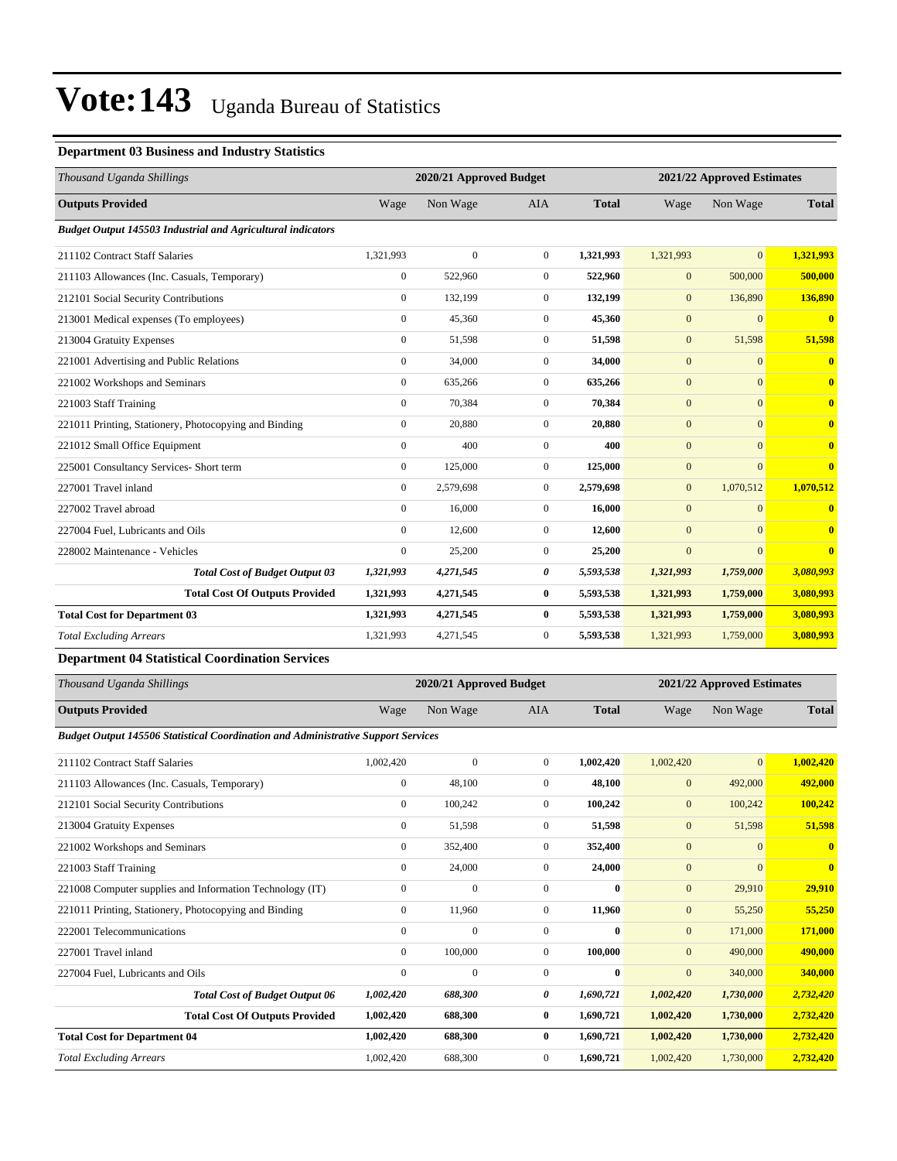#### **Department 03 Business and Industry Statistics**

| 2020/21 Approved Budget<br>2021/22 Approved Estimates |              |                  |              |              |                |                         |
|-------------------------------------------------------|--------------|------------------|--------------|--------------|----------------|-------------------------|
| Wage                                                  | Non Wage     | <b>AIA</b>       | <b>Total</b> | Wage         | Non Wage       | <b>Total</b>            |
|                                                       |              |                  |              |              |                |                         |
| 1,321,993                                             | $\mathbf{0}$ | $\overline{0}$   | 1,321,993    | 1,321,993    | $\overline{0}$ | 1,321,993               |
| $\boldsymbol{0}$                                      | 522,960      | $\overline{0}$   | 522,960      | $\mathbf{0}$ | 500,000        | 500,000                 |
| $\mathbf{0}$                                          | 132,199      | $\mathbf{0}$     | 132,199      | $\mathbf{0}$ | 136,890        | 136,890                 |
| $\mathbf{0}$                                          | 45,360       | $\boldsymbol{0}$ | 45,360       | $\mathbf{0}$ | $\mathbf{0}$   | $\overline{\mathbf{0}}$ |
| $\mathbf{0}$                                          | 51,598       | $\overline{0}$   | 51,598       | $\mathbf{0}$ | 51,598         | 51,598                  |
| $\mathbf{0}$                                          | 34,000       | $\overline{0}$   | 34,000       | $\mathbf{0}$ | $\overline{0}$ | $\bf{0}$                |
| $\mathbf{0}$                                          | 635,266      | $\overline{0}$   | 635,266      | $\mathbf{0}$ | $\mathbf{0}$   | $\bf{0}$                |
| $\mathbf{0}$                                          | 70,384       | $\overline{0}$   | 70,384       | $\mathbf{0}$ | $\overline{0}$ | $\overline{\mathbf{0}}$ |
| $\mathbf{0}$                                          | 20,880       | $\overline{0}$   | 20,880       | $\mathbf{0}$ | $\overline{0}$ | $\overline{\mathbf{0}}$ |
| $\mathbf{0}$                                          | 400          | $\overline{0}$   | 400          | $\mathbf{0}$ | $\overline{0}$ | $\bf{0}$                |
| $\mathbf{0}$                                          | 125,000      | $\overline{0}$   | 125,000      | $\mathbf{0}$ | $\mathbf{0}$   | $\mathbf{0}$            |
| $\Omega$                                              | 2,579,698    | $\overline{0}$   | 2,579,698    | $\mathbf{0}$ | 1,070,512      | 1,070,512               |
| $\mathbf{0}$                                          | 16,000       | $\overline{0}$   | 16.000       | $\mathbf{0}$ | $\mathbf{0}$   | $\bf{0}$                |
| $\Omega$                                              | 12,600       | $\overline{0}$   | 12,600       | $\mathbf{0}$ | $\Omega$       | $\mathbf{0}$            |
| $\mathbf{0}$                                          | 25,200       | $\overline{0}$   | 25,200       | $\mathbf{0}$ | $\Omega$       | $\overline{0}$          |
| 1,321,993                                             | 4,271,545    | 0                | 5,593,538    | 1,321,993    | 1,759,000      | 3,080,993               |
| 1,321,993                                             | 4,271,545    | 0                | 5,593,538    | 1,321,993    | 1,759,000      | 3,080,993               |
| 1,321,993                                             | 4,271,545    | $\bf{0}$         | 5,593,538    | 1,321,993    | 1,759,000      | 3,080,993               |
| 1,321,993                                             | 4,271,545    | $\overline{0}$   | 5,593,538    | 1,321,993    | 1,759,000      | 3,080,993               |
|                                                       |              |                  |              |              |                |                         |

#### **Department 04 Statistical Coordination Services**

| Thousand Uganda Shillings                                                                |              | 2020/21 Approved Budget |                |              | 2021/22 Approved Estimates |                |              |
|------------------------------------------------------------------------------------------|--------------|-------------------------|----------------|--------------|----------------------------|----------------|--------------|
| <b>Outputs Provided</b>                                                                  | Wage         | Non Wage                | <b>AIA</b>     | <b>Total</b> | Wage                       | Non Wage       | <b>Total</b> |
| <b>Budget Output 145506 Statistical Coordination and Administrative Support Services</b> |              |                         |                |              |                            |                |              |
| 211102 Contract Staff Salaries                                                           | 1,002,420    | $\Omega$                | $\Omega$       | 1,002,420    | 1,002,420                  | $\overline{0}$ | 1,002,420    |
| 211103 Allowances (Inc. Casuals, Temporary)                                              | $\mathbf{0}$ | 48,100                  | $\mathbf{0}$   | 48,100       | $\mathbf{0}$               | 492,000        | 492,000      |
| 212101 Social Security Contributions                                                     | $\mathbf{0}$ | 100,242                 | $\Omega$       | 100,242      | $\mathbf{0}$               | 100,242        | 100,242      |
| 213004 Gratuity Expenses                                                                 | $\mathbf{0}$ | 51,598                  | $\Omega$       | 51,598       | $\mathbf{0}$               | 51,598         | 51,598       |
| 221002 Workshops and Seminars                                                            | $\mathbf{0}$ | 352,400                 | $\Omega$       | 352,400      | $\mathbf{0}$               | $\overline{0}$ | $\mathbf{0}$ |
| 221003 Staff Training                                                                    | $\mathbf{0}$ | 24,000                  | $\mathbf{0}$   | 24,000       | $\mathbf{0}$               | $\overline{0}$ | $\bf{0}$     |
| 221008 Computer supplies and Information Technology (IT)                                 | $\mathbf{0}$ | $\mathbf{0}$            | $\mathbf{0}$   | $\bf{0}$     | $\mathbf{0}$               | 29,910         | 29,910       |
| 221011 Printing, Stationery, Photocopying and Binding                                    | $\mathbf{0}$ | 11,960                  | $\overline{0}$ | 11,960       | $\mathbf{0}$               | 55,250         | 55,250       |
| 222001 Telecommunications                                                                | $\mathbf{0}$ | $\mathbf{0}$            | $\Omega$       | $\bf{0}$     | $\mathbf{0}$               | 171,000        | 171,000      |
| 227001 Travel inland                                                                     | $\Omega$     | 100,000                 | $\Omega$       | 100,000      | $\mathbf{0}$               | 490,000        | 490,000      |
| 227004 Fuel, Lubricants and Oils                                                         | $\Omega$     | $\Omega$                | $\Omega$       | 0            | $\mathbf{0}$               | 340,000        | 340,000      |
| <b>Total Cost of Budget Output 06</b>                                                    | 1,002,420    | 688,300                 | 0              | 1,690,721    | 1,002,420                  | 1,730,000      | 2,732,420    |
| <b>Total Cost Of Outputs Provided</b>                                                    | 1,002,420    | 688,300                 | $\bf{0}$       | 1,690,721    | 1,002,420                  | 1,730,000      | 2,732,420    |
| <b>Total Cost for Department 04</b>                                                      | 1,002,420    | 688,300                 | $\bf{0}$       | 1,690,721    | 1,002,420                  | 1,730,000      | 2,732,420    |
| <b>Total Excluding Arrears</b>                                                           | 1,002,420    | 688,300                 | $\Omega$       | 1,690,721    | 1,002,420                  | 1,730,000      | 2,732,420    |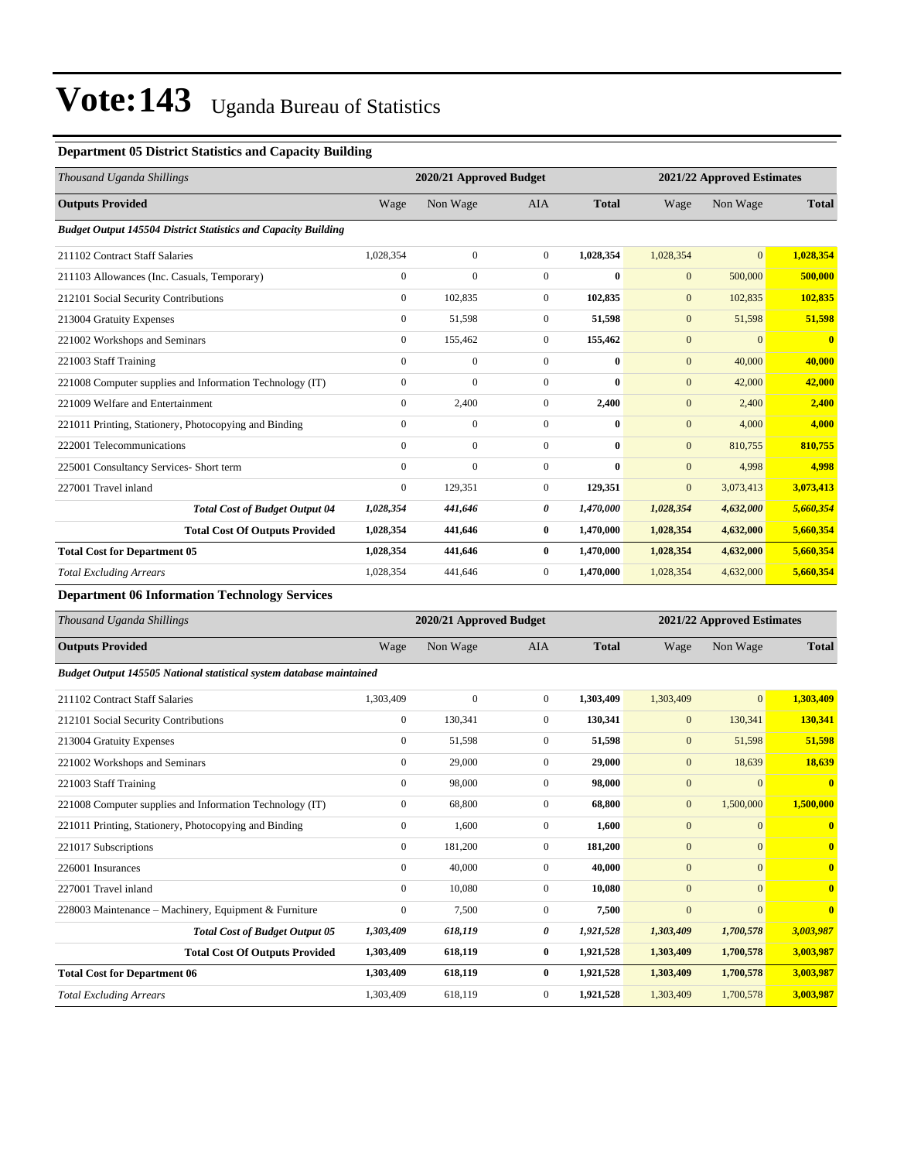#### **Department 05 District Statistics and Capacity Building**

| Thousand Uganda Shillings                                             |                | 2020/21 Approved Budget |                |              | 2021/22 Approved Estimates |                |                         |
|-----------------------------------------------------------------------|----------------|-------------------------|----------------|--------------|----------------------------|----------------|-------------------------|
| <b>Outputs Provided</b>                                               | Wage           | Non Wage                | <b>AIA</b>     | <b>Total</b> | Wage                       | Non Wage       | <b>Total</b>            |
| <b>Budget Output 145504 District Statistics and Capacity Building</b> |                |                         |                |              |                            |                |                         |
| 211102 Contract Staff Salaries                                        | 1,028,354      | $\overline{0}$          | $\overline{0}$ | 1,028,354    | 1,028,354                  | $\overline{0}$ | 1,028,354               |
| 211103 Allowances (Inc. Casuals, Temporary)                           | $\mathbf{0}$   | $\mathbf{0}$            | $\mathbf{0}$   | $\bf{0}$     | $\mathbf{0}$               | 500,000        | 500,000                 |
| 212101 Social Security Contributions                                  | $\overline{0}$ | 102,835                 | $\overline{0}$ | 102,835      | $\mathbf{0}$               | 102,835        | 102,835                 |
| 213004 Gratuity Expenses                                              | $\mathbf{0}$   | 51,598                  | $\mathbf{0}$   | 51,598       | $\mathbf{0}$               | 51,598         | 51,598                  |
| 221002 Workshops and Seminars                                         | $\overline{0}$ | 155,462                 | $\overline{0}$ | 155,462      | $\mathbf{0}$               | $\overline{0}$ | $\overline{\mathbf{0}}$ |
| 221003 Staff Training                                                 | $\mathbf{0}$   | $\mathbf{0}$            | $\Omega$       | $\mathbf{0}$ | $\mathbf{0}$               | 40,000         | 40,000                  |
| 221008 Computer supplies and Information Technology (IT)              | $\Omega$       | $\theta$                | $\Omega$       | $\bf{0}$     | $\mathbf{0}$               | 42,000         | 42,000                  |
| 221009 Welfare and Entertainment                                      | $\mathbf{0}$   | 2,400                   | $\mathbf{0}$   | 2,400        | $\mathbf{0}$               | 2,400          | 2.400                   |
| 221011 Printing, Stationery, Photocopying and Binding                 | $\mathbf{0}$   | $\mathbf{0}$            | $\mathbf{0}$   | $\mathbf{0}$ | $\mathbf{0}$               | 4,000          | 4,000                   |
| 222001 Telecommunications                                             | $\mathbf{0}$   | $\overline{0}$          | $\mathbf{0}$   | $\bf{0}$     | $\mathbf{0}$               | 810,755        | 810,755                 |
| 225001 Consultancy Services- Short term                               | $\mathbf{0}$   | $\mathbf{0}$            | $\mathbf{0}$   | $\bf{0}$     | $\mathbf{0}$               | 4,998          | 4.998                   |
| 227001 Travel inland                                                  | $\mathbf{0}$   | 129,351                 | $\overline{0}$ | 129,351      | $\mathbf{0}$               | 3,073,413      | 3,073,413               |
| <b>Total Cost of Budget Output 04</b>                                 | 1,028,354      | 441,646                 | 0              | 1,470,000    | 1,028,354                  | 4,632,000      | 5,660,354               |
| <b>Total Cost Of Outputs Provided</b>                                 | 1,028,354      | 441,646                 | $\bf{0}$       | 1,470,000    | 1,028,354                  | 4,632,000      | 5,660,354               |
| <b>Total Cost for Department 05</b>                                   | 1,028,354      | 441,646                 | $\bf{0}$       | 1,470,000    | 1,028,354                  | 4,632,000      | 5,660,354               |
| <b>Total Excluding Arrears</b>                                        | 1,028,354      | 441,646                 | $\mathbf{0}$   | 1.470.000    | 1,028,354                  | 4,632,000      | 5,660,354               |

#### **Department 06 Information Technology Services**

| Thousand Uganda Shillings                                            | 2020/21 Approved Budget<br>2021/22 Approved Estimates |              |                |              |                |                |                         |
|----------------------------------------------------------------------|-------------------------------------------------------|--------------|----------------|--------------|----------------|----------------|-------------------------|
| <b>Outputs Provided</b>                                              | Wage                                                  | Non Wage     | <b>AIA</b>     | <b>Total</b> | Wage           | Non Wage       | <b>Total</b>            |
| Budget Output 145505 National statistical system database maintained |                                                       |              |                |              |                |                |                         |
| 211102 Contract Staff Salaries                                       | 1,303,409                                             | $\mathbf{0}$ | $\mathbf{0}$   | 1,303,409    | 1,303,409      | $\overline{0}$ | 1,303,409               |
| 212101 Social Security Contributions                                 | $\mathbf{0}$                                          | 130,341      | $\mathbf{0}$   | 130,341      | $\mathbf{0}$   | 130,341        | 130,341                 |
| 213004 Gratuity Expenses                                             | $\mathbf{0}$                                          | 51,598       | $\Omega$       | 51.598       | $\mathbf{0}$   | 51,598         | 51,598                  |
| 221002 Workshops and Seminars                                        | $\mathbf{0}$                                          | 29,000       | $\mathbf{0}$   | 29,000       | $\mathbf{0}$   | 18,639         | 18,639                  |
| 221003 Staff Training                                                | $\Omega$                                              | 98,000       | $\Omega$       | 98,000       | $\mathbf{0}$   | $\overline{0}$ | $\bf{0}$                |
| 221008 Computer supplies and Information Technology (IT)             | $\mathbf{0}$                                          | 68,800       | $\mathbf{0}$   | 68.800       | $\mathbf{0}$   | 1,500,000      | 1,500,000               |
| 221011 Printing, Stationery, Photocopying and Binding                | $\mathbf{0}$                                          | 1,600        | $\mathbf{0}$   | 1,600        | $\mathbf{0}$   | $\mathbf{0}$   | $\bf{0}$                |
| 221017 Subscriptions                                                 | $\mathbf{0}$                                          | 181,200      | $\mathbf{0}$   | 181,200      | $\overline{0}$ | $\overline{0}$ | $\overline{\mathbf{0}}$ |
| 226001 Insurances                                                    | $\mathbf{0}$                                          | 40,000       | $\mathbf{0}$   | 40.000       | $\overline{0}$ | $\overline{0}$ | $\overline{\mathbf{0}}$ |
| 227001 Travel inland                                                 | $\Omega$                                              | 10.080       | $\mathbf{0}$   | 10.080       | $\overline{0}$ | $\overline{0}$ | $\overline{\mathbf{0}}$ |
| 228003 Maintenance - Machinery, Equipment & Furniture                | $\mathbf{0}$                                          | 7,500        | $\overline{0}$ | 7,500        | $\overline{0}$ | $\overline{0}$ | $\overline{\mathbf{0}}$ |
| <b>Total Cost of Budget Output 05</b>                                | 1,303,409                                             | 618,119      | 0              | 1,921,528    | 1,303,409      | 1,700,578      | 3,003,987               |
| <b>Total Cost Of Outputs Provided</b>                                | 1,303,409                                             | 618,119      | $\bf{0}$       | 1,921,528    | 1,303,409      | 1,700,578      | 3,003,987               |
| <b>Total Cost for Department 06</b>                                  | 1,303,409                                             | 618,119      | $\bf{0}$       | 1,921,528    | 1,303,409      | 1,700,578      | 3,003,987               |
| <b>Total Excluding Arrears</b>                                       | 1,303,409                                             | 618,119      | $\mathbf{0}$   | 1,921,528    | 1,303,409      | 1,700,578      | 3,003,987               |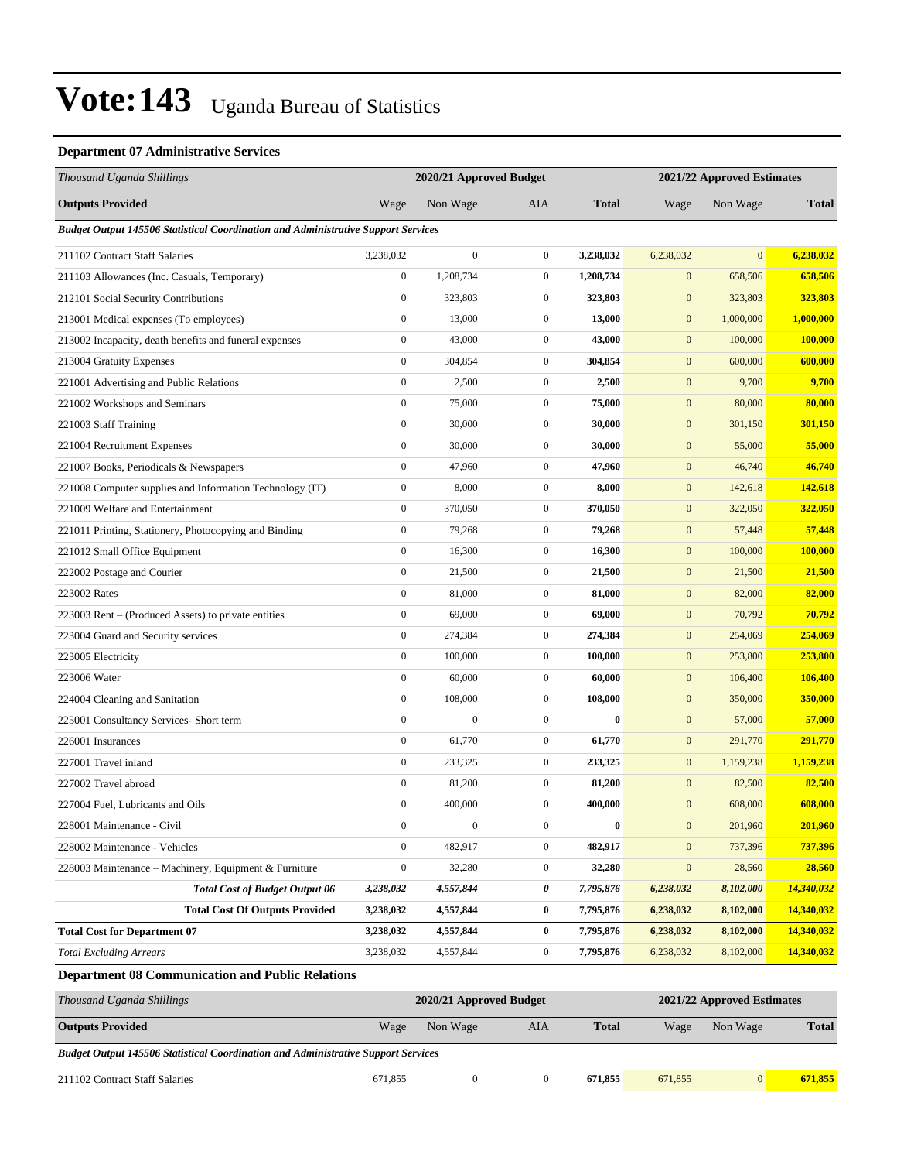#### **Department 07 Administrative Services**

| Wage<br>Non Wage<br>AIA<br><b>Total</b><br>Wage<br>Non Wage<br><b>Total</b><br><b>Budget Output 145506 Statistical Coordination and Administrative Support Services</b><br>$\boldsymbol{0}$<br>$\mathbf{0}$<br>$\mathbf{0}$<br>6,238,032<br>3,238,032<br>3,238,032<br>6,238,032<br>658,506<br>$\boldsymbol{0}$<br>1,208,734<br>$\mathbf{0}$<br>1,208,734<br>$\mathbf{0}$<br>658,506<br>$\boldsymbol{0}$<br>$\boldsymbol{0}$<br>323,803<br>$\mathbf{0}$<br>323,803<br>323,803<br>323,803<br>1,000,000<br>$\boldsymbol{0}$<br>13,000<br>$\boldsymbol{0}$<br>13,000<br>$\boldsymbol{0}$<br>1,000,000<br>$\boldsymbol{0}$<br>$\boldsymbol{0}$<br>$\boldsymbol{0}$<br>100,000<br>43,000<br>43,000<br>100,000<br>$\boldsymbol{0}$<br>$\mathbf{0}$<br>304,854<br>304,854<br>$\boldsymbol{0}$<br>600,000<br>600,000<br>$\boldsymbol{0}$<br>2,500<br>$\mathbf{0}$<br>2,500<br>$\boldsymbol{0}$<br>9,700<br>9,700<br>$\boldsymbol{0}$<br>75,000<br>$\mathbf{0}$<br>75,000<br>$\mathbf{0}$<br>80,000<br>80,000<br>$\boldsymbol{0}$<br>30,000<br>$\boldsymbol{0}$<br>30,000<br>$\boldsymbol{0}$<br>301,150<br>301,150<br>$\boldsymbol{0}$<br>$\mathbf{0}$<br>$\boldsymbol{0}$<br>30,000<br>30,000<br>55,000<br>55,000<br>$\boldsymbol{0}$<br>47,960<br>$\mathbf{0}$<br>47,960<br>$\mathbf{0}$<br>46,740<br>46,740<br>142,618<br>$\boldsymbol{0}$<br>8,000<br>$\mathbf{0}$<br>8,000<br>$\boldsymbol{0}$<br>142,618<br>$\boldsymbol{0}$<br>370,050<br>$\mathbf{0}$<br>370,050<br>$\boldsymbol{0}$<br>322,050<br>322,050<br>$\boldsymbol{0}$<br>57,448<br>79,268<br>$\boldsymbol{0}$<br>79,268<br>$\boldsymbol{0}$<br>57,448<br>$\boldsymbol{0}$<br>$\mathbf{0}$<br>$\boldsymbol{0}$<br>100,000<br>16,300<br>16,300<br>100,000<br>$\boldsymbol{0}$<br>21,500<br>$\mathbf{0}$<br>21,500<br>$\boldsymbol{0}$<br>21,500<br>21,500<br>82,000<br>$\boldsymbol{0}$<br>81,000<br>$\mathbf{0}$<br>81,000<br>$\mathbf{0}$<br>82,000<br>$\boldsymbol{0}$<br>$\mathbf{0}$<br>69,000<br>69,000<br>$\mathbf{0}$<br>70,792<br>70,792<br>254,069<br>$\boldsymbol{0}$<br>274,384<br>$\mathbf{0}$<br>274,384<br>$\boldsymbol{0}$<br>254,069<br>$\boldsymbol{0}$<br>$\mathbf{0}$<br>$\boldsymbol{0}$<br>253,800<br>100,000<br>100,000<br>253,800<br>$\boldsymbol{0}$<br>$\mathbf{0}$<br>60,000<br>60,000<br>$\boldsymbol{0}$<br>106,400<br>106,400<br>350,000<br>$\boldsymbol{0}$<br>108,000<br>$\mathbf{0}$<br>108,000<br>$\boldsymbol{0}$<br>350,000<br>$\boldsymbol{0}$<br>$\boldsymbol{0}$<br>$\boldsymbol{0}$<br>$\bf{0}$<br>$\mathbf{0}$<br>57,000<br>57,000<br>$\boldsymbol{0}$<br>291,770<br>61,770<br>$\boldsymbol{0}$<br>$\boldsymbol{0}$<br>61,770<br>291,770<br>$\boldsymbol{0}$<br>$\mathbf{0}$<br>$\boldsymbol{0}$<br>1,159,238<br>233,325<br>233,325<br>1,159,238<br>$\boldsymbol{0}$<br>81,200<br>$\mathbf{0}$<br>81,200<br>$\mathbf{0}$<br>82,500<br>82,500<br>608,000<br>$\boldsymbol{0}$<br>400,000<br>$\mathbf{0}$<br>400,000<br>$\mathbf{0}$<br>608,000<br>$\boldsymbol{0}$<br>$\boldsymbol{0}$<br>$\boldsymbol{0}$<br>$\bf{0}$<br>$\boldsymbol{0}$<br>201,960<br>201,960<br>$\boldsymbol{0}$<br>482,917<br>737,396<br>482,917<br>$\mathbf{0}$<br>$\mathbf{0}$<br>737,396<br>28,560<br>$\boldsymbol{0}$<br>32,280<br>$\boldsymbol{0}$<br>32,280<br>$\boldsymbol{0}$<br>28,560<br>4,557,844<br>0<br>7,795,876<br>6,238,032<br>8,102,000<br>14,340,032<br><b>Total Cost of Budget Output 06</b><br>3,238,032<br>14,340,032<br><b>Total Cost Of Outputs Provided</b><br>3,238,032<br>4,557,844<br>$\bf{0}$<br>7,795,876<br>6,238,032<br>8,102,000<br>4,557,844<br>$\bf{0}$<br>7,795,876<br>14,340,032<br>3,238,032<br>6,238,032<br>8,102,000<br>3,238,032<br>4,557,844<br>$\boldsymbol{0}$<br>7,795,876<br>6,238,032<br>8,102,000<br>14,340,032<br><b>Department 08 Communication and Public Relations</b><br>2020/21 Approved Budget<br>2021/22 Approved Estimates<br><b>Total</b><br>Non Wage<br><b>Total</b><br>Wage<br>Non Wage<br>AIA<br>Wage | Thousand Uganda Shillings                                | 2020/21 Approved Budget<br>2021/22 Approved Estimates |  |  |  |  |  |  |
|-------------------------------------------------------------------------------------------------------------------------------------------------------------------------------------------------------------------------------------------------------------------------------------------------------------------------------------------------------------------------------------------------------------------------------------------------------------------------------------------------------------------------------------------------------------------------------------------------------------------------------------------------------------------------------------------------------------------------------------------------------------------------------------------------------------------------------------------------------------------------------------------------------------------------------------------------------------------------------------------------------------------------------------------------------------------------------------------------------------------------------------------------------------------------------------------------------------------------------------------------------------------------------------------------------------------------------------------------------------------------------------------------------------------------------------------------------------------------------------------------------------------------------------------------------------------------------------------------------------------------------------------------------------------------------------------------------------------------------------------------------------------------------------------------------------------------------------------------------------------------------------------------------------------------------------------------------------------------------------------------------------------------------------------------------------------------------------------------------------------------------------------------------------------------------------------------------------------------------------------------------------------------------------------------------------------------------------------------------------------------------------------------------------------------------------------------------------------------------------------------------------------------------------------------------------------------------------------------------------------------------------------------------------------------------------------------------------------------------------------------------------------------------------------------------------------------------------------------------------------------------------------------------------------------------------------------------------------------------------------------------------------------------------------------------------------------------------------------------------------------------------------------------------------------------------------------------------------------------------------------------------------------------------------------------------------------------------------------------------------------------------------------------------------------------------------------------------------------------------------------------------------------------------------------------------------------------------------------------------------------------------------------------------------------------------------------------------------------------------------------------------------------------------------------------------------------------------------------------------------------------------------------------------------------------------|----------------------------------------------------------|-------------------------------------------------------|--|--|--|--|--|--|
|                                                                                                                                                                                                                                                                                                                                                                                                                                                                                                                                                                                                                                                                                                                                                                                                                                                                                                                                                                                                                                                                                                                                                                                                                                                                                                                                                                                                                                                                                                                                                                                                                                                                                                                                                                                                                                                                                                                                                                                                                                                                                                                                                                                                                                                                                                                                                                                                                                                                                                                                                                                                                                                                                                                                                                                                                                                                                                                                                                                                                                                                                                                                                                                                                                                                                                                                                                                                                                                                                                                                                                                                                                                                                                                                                                                                                                                                                                                                     | <b>Outputs Provided</b>                                  |                                                       |  |  |  |  |  |  |
|                                                                                                                                                                                                                                                                                                                                                                                                                                                                                                                                                                                                                                                                                                                                                                                                                                                                                                                                                                                                                                                                                                                                                                                                                                                                                                                                                                                                                                                                                                                                                                                                                                                                                                                                                                                                                                                                                                                                                                                                                                                                                                                                                                                                                                                                                                                                                                                                                                                                                                                                                                                                                                                                                                                                                                                                                                                                                                                                                                                                                                                                                                                                                                                                                                                                                                                                                                                                                                                                                                                                                                                                                                                                                                                                                                                                                                                                                                                                     |                                                          |                                                       |  |  |  |  |  |  |
|                                                                                                                                                                                                                                                                                                                                                                                                                                                                                                                                                                                                                                                                                                                                                                                                                                                                                                                                                                                                                                                                                                                                                                                                                                                                                                                                                                                                                                                                                                                                                                                                                                                                                                                                                                                                                                                                                                                                                                                                                                                                                                                                                                                                                                                                                                                                                                                                                                                                                                                                                                                                                                                                                                                                                                                                                                                                                                                                                                                                                                                                                                                                                                                                                                                                                                                                                                                                                                                                                                                                                                                                                                                                                                                                                                                                                                                                                                                                     | 211102 Contract Staff Salaries                           |                                                       |  |  |  |  |  |  |
|                                                                                                                                                                                                                                                                                                                                                                                                                                                                                                                                                                                                                                                                                                                                                                                                                                                                                                                                                                                                                                                                                                                                                                                                                                                                                                                                                                                                                                                                                                                                                                                                                                                                                                                                                                                                                                                                                                                                                                                                                                                                                                                                                                                                                                                                                                                                                                                                                                                                                                                                                                                                                                                                                                                                                                                                                                                                                                                                                                                                                                                                                                                                                                                                                                                                                                                                                                                                                                                                                                                                                                                                                                                                                                                                                                                                                                                                                                                                     | 211103 Allowances (Inc. Casuals, Temporary)              |                                                       |  |  |  |  |  |  |
|                                                                                                                                                                                                                                                                                                                                                                                                                                                                                                                                                                                                                                                                                                                                                                                                                                                                                                                                                                                                                                                                                                                                                                                                                                                                                                                                                                                                                                                                                                                                                                                                                                                                                                                                                                                                                                                                                                                                                                                                                                                                                                                                                                                                                                                                                                                                                                                                                                                                                                                                                                                                                                                                                                                                                                                                                                                                                                                                                                                                                                                                                                                                                                                                                                                                                                                                                                                                                                                                                                                                                                                                                                                                                                                                                                                                                                                                                                                                     | 212101 Social Security Contributions                     |                                                       |  |  |  |  |  |  |
|                                                                                                                                                                                                                                                                                                                                                                                                                                                                                                                                                                                                                                                                                                                                                                                                                                                                                                                                                                                                                                                                                                                                                                                                                                                                                                                                                                                                                                                                                                                                                                                                                                                                                                                                                                                                                                                                                                                                                                                                                                                                                                                                                                                                                                                                                                                                                                                                                                                                                                                                                                                                                                                                                                                                                                                                                                                                                                                                                                                                                                                                                                                                                                                                                                                                                                                                                                                                                                                                                                                                                                                                                                                                                                                                                                                                                                                                                                                                     | 213001 Medical expenses (To employees)                   |                                                       |  |  |  |  |  |  |
|                                                                                                                                                                                                                                                                                                                                                                                                                                                                                                                                                                                                                                                                                                                                                                                                                                                                                                                                                                                                                                                                                                                                                                                                                                                                                                                                                                                                                                                                                                                                                                                                                                                                                                                                                                                                                                                                                                                                                                                                                                                                                                                                                                                                                                                                                                                                                                                                                                                                                                                                                                                                                                                                                                                                                                                                                                                                                                                                                                                                                                                                                                                                                                                                                                                                                                                                                                                                                                                                                                                                                                                                                                                                                                                                                                                                                                                                                                                                     | 213002 Incapacity, death benefits and funeral expenses   |                                                       |  |  |  |  |  |  |
|                                                                                                                                                                                                                                                                                                                                                                                                                                                                                                                                                                                                                                                                                                                                                                                                                                                                                                                                                                                                                                                                                                                                                                                                                                                                                                                                                                                                                                                                                                                                                                                                                                                                                                                                                                                                                                                                                                                                                                                                                                                                                                                                                                                                                                                                                                                                                                                                                                                                                                                                                                                                                                                                                                                                                                                                                                                                                                                                                                                                                                                                                                                                                                                                                                                                                                                                                                                                                                                                                                                                                                                                                                                                                                                                                                                                                                                                                                                                     | 213004 Gratuity Expenses                                 |                                                       |  |  |  |  |  |  |
|                                                                                                                                                                                                                                                                                                                                                                                                                                                                                                                                                                                                                                                                                                                                                                                                                                                                                                                                                                                                                                                                                                                                                                                                                                                                                                                                                                                                                                                                                                                                                                                                                                                                                                                                                                                                                                                                                                                                                                                                                                                                                                                                                                                                                                                                                                                                                                                                                                                                                                                                                                                                                                                                                                                                                                                                                                                                                                                                                                                                                                                                                                                                                                                                                                                                                                                                                                                                                                                                                                                                                                                                                                                                                                                                                                                                                                                                                                                                     | 221001 Advertising and Public Relations                  |                                                       |  |  |  |  |  |  |
|                                                                                                                                                                                                                                                                                                                                                                                                                                                                                                                                                                                                                                                                                                                                                                                                                                                                                                                                                                                                                                                                                                                                                                                                                                                                                                                                                                                                                                                                                                                                                                                                                                                                                                                                                                                                                                                                                                                                                                                                                                                                                                                                                                                                                                                                                                                                                                                                                                                                                                                                                                                                                                                                                                                                                                                                                                                                                                                                                                                                                                                                                                                                                                                                                                                                                                                                                                                                                                                                                                                                                                                                                                                                                                                                                                                                                                                                                                                                     | 221002 Workshops and Seminars                            |                                                       |  |  |  |  |  |  |
|                                                                                                                                                                                                                                                                                                                                                                                                                                                                                                                                                                                                                                                                                                                                                                                                                                                                                                                                                                                                                                                                                                                                                                                                                                                                                                                                                                                                                                                                                                                                                                                                                                                                                                                                                                                                                                                                                                                                                                                                                                                                                                                                                                                                                                                                                                                                                                                                                                                                                                                                                                                                                                                                                                                                                                                                                                                                                                                                                                                                                                                                                                                                                                                                                                                                                                                                                                                                                                                                                                                                                                                                                                                                                                                                                                                                                                                                                                                                     | 221003 Staff Training                                    |                                                       |  |  |  |  |  |  |
|                                                                                                                                                                                                                                                                                                                                                                                                                                                                                                                                                                                                                                                                                                                                                                                                                                                                                                                                                                                                                                                                                                                                                                                                                                                                                                                                                                                                                                                                                                                                                                                                                                                                                                                                                                                                                                                                                                                                                                                                                                                                                                                                                                                                                                                                                                                                                                                                                                                                                                                                                                                                                                                                                                                                                                                                                                                                                                                                                                                                                                                                                                                                                                                                                                                                                                                                                                                                                                                                                                                                                                                                                                                                                                                                                                                                                                                                                                                                     | 221004 Recruitment Expenses                              |                                                       |  |  |  |  |  |  |
|                                                                                                                                                                                                                                                                                                                                                                                                                                                                                                                                                                                                                                                                                                                                                                                                                                                                                                                                                                                                                                                                                                                                                                                                                                                                                                                                                                                                                                                                                                                                                                                                                                                                                                                                                                                                                                                                                                                                                                                                                                                                                                                                                                                                                                                                                                                                                                                                                                                                                                                                                                                                                                                                                                                                                                                                                                                                                                                                                                                                                                                                                                                                                                                                                                                                                                                                                                                                                                                                                                                                                                                                                                                                                                                                                                                                                                                                                                                                     | 221007 Books, Periodicals & Newspapers                   |                                                       |  |  |  |  |  |  |
|                                                                                                                                                                                                                                                                                                                                                                                                                                                                                                                                                                                                                                                                                                                                                                                                                                                                                                                                                                                                                                                                                                                                                                                                                                                                                                                                                                                                                                                                                                                                                                                                                                                                                                                                                                                                                                                                                                                                                                                                                                                                                                                                                                                                                                                                                                                                                                                                                                                                                                                                                                                                                                                                                                                                                                                                                                                                                                                                                                                                                                                                                                                                                                                                                                                                                                                                                                                                                                                                                                                                                                                                                                                                                                                                                                                                                                                                                                                                     | 221008 Computer supplies and Information Technology (IT) |                                                       |  |  |  |  |  |  |
|                                                                                                                                                                                                                                                                                                                                                                                                                                                                                                                                                                                                                                                                                                                                                                                                                                                                                                                                                                                                                                                                                                                                                                                                                                                                                                                                                                                                                                                                                                                                                                                                                                                                                                                                                                                                                                                                                                                                                                                                                                                                                                                                                                                                                                                                                                                                                                                                                                                                                                                                                                                                                                                                                                                                                                                                                                                                                                                                                                                                                                                                                                                                                                                                                                                                                                                                                                                                                                                                                                                                                                                                                                                                                                                                                                                                                                                                                                                                     | 221009 Welfare and Entertainment                         |                                                       |  |  |  |  |  |  |
|                                                                                                                                                                                                                                                                                                                                                                                                                                                                                                                                                                                                                                                                                                                                                                                                                                                                                                                                                                                                                                                                                                                                                                                                                                                                                                                                                                                                                                                                                                                                                                                                                                                                                                                                                                                                                                                                                                                                                                                                                                                                                                                                                                                                                                                                                                                                                                                                                                                                                                                                                                                                                                                                                                                                                                                                                                                                                                                                                                                                                                                                                                                                                                                                                                                                                                                                                                                                                                                                                                                                                                                                                                                                                                                                                                                                                                                                                                                                     | 221011 Printing, Stationery, Photocopying and Binding    |                                                       |  |  |  |  |  |  |
|                                                                                                                                                                                                                                                                                                                                                                                                                                                                                                                                                                                                                                                                                                                                                                                                                                                                                                                                                                                                                                                                                                                                                                                                                                                                                                                                                                                                                                                                                                                                                                                                                                                                                                                                                                                                                                                                                                                                                                                                                                                                                                                                                                                                                                                                                                                                                                                                                                                                                                                                                                                                                                                                                                                                                                                                                                                                                                                                                                                                                                                                                                                                                                                                                                                                                                                                                                                                                                                                                                                                                                                                                                                                                                                                                                                                                                                                                                                                     | 221012 Small Office Equipment                            |                                                       |  |  |  |  |  |  |
|                                                                                                                                                                                                                                                                                                                                                                                                                                                                                                                                                                                                                                                                                                                                                                                                                                                                                                                                                                                                                                                                                                                                                                                                                                                                                                                                                                                                                                                                                                                                                                                                                                                                                                                                                                                                                                                                                                                                                                                                                                                                                                                                                                                                                                                                                                                                                                                                                                                                                                                                                                                                                                                                                                                                                                                                                                                                                                                                                                                                                                                                                                                                                                                                                                                                                                                                                                                                                                                                                                                                                                                                                                                                                                                                                                                                                                                                                                                                     | 222002 Postage and Courier                               |                                                       |  |  |  |  |  |  |
|                                                                                                                                                                                                                                                                                                                                                                                                                                                                                                                                                                                                                                                                                                                                                                                                                                                                                                                                                                                                                                                                                                                                                                                                                                                                                                                                                                                                                                                                                                                                                                                                                                                                                                                                                                                                                                                                                                                                                                                                                                                                                                                                                                                                                                                                                                                                                                                                                                                                                                                                                                                                                                                                                                                                                                                                                                                                                                                                                                                                                                                                                                                                                                                                                                                                                                                                                                                                                                                                                                                                                                                                                                                                                                                                                                                                                                                                                                                                     | 223002 Rates                                             |                                                       |  |  |  |  |  |  |
|                                                                                                                                                                                                                                                                                                                                                                                                                                                                                                                                                                                                                                                                                                                                                                                                                                                                                                                                                                                                                                                                                                                                                                                                                                                                                                                                                                                                                                                                                                                                                                                                                                                                                                                                                                                                                                                                                                                                                                                                                                                                                                                                                                                                                                                                                                                                                                                                                                                                                                                                                                                                                                                                                                                                                                                                                                                                                                                                                                                                                                                                                                                                                                                                                                                                                                                                                                                                                                                                                                                                                                                                                                                                                                                                                                                                                                                                                                                                     | 223003 Rent – (Produced Assets) to private entities      |                                                       |  |  |  |  |  |  |
|                                                                                                                                                                                                                                                                                                                                                                                                                                                                                                                                                                                                                                                                                                                                                                                                                                                                                                                                                                                                                                                                                                                                                                                                                                                                                                                                                                                                                                                                                                                                                                                                                                                                                                                                                                                                                                                                                                                                                                                                                                                                                                                                                                                                                                                                                                                                                                                                                                                                                                                                                                                                                                                                                                                                                                                                                                                                                                                                                                                                                                                                                                                                                                                                                                                                                                                                                                                                                                                                                                                                                                                                                                                                                                                                                                                                                                                                                                                                     | 223004 Guard and Security services                       |                                                       |  |  |  |  |  |  |
|                                                                                                                                                                                                                                                                                                                                                                                                                                                                                                                                                                                                                                                                                                                                                                                                                                                                                                                                                                                                                                                                                                                                                                                                                                                                                                                                                                                                                                                                                                                                                                                                                                                                                                                                                                                                                                                                                                                                                                                                                                                                                                                                                                                                                                                                                                                                                                                                                                                                                                                                                                                                                                                                                                                                                                                                                                                                                                                                                                                                                                                                                                                                                                                                                                                                                                                                                                                                                                                                                                                                                                                                                                                                                                                                                                                                                                                                                                                                     | 223005 Electricity                                       |                                                       |  |  |  |  |  |  |
|                                                                                                                                                                                                                                                                                                                                                                                                                                                                                                                                                                                                                                                                                                                                                                                                                                                                                                                                                                                                                                                                                                                                                                                                                                                                                                                                                                                                                                                                                                                                                                                                                                                                                                                                                                                                                                                                                                                                                                                                                                                                                                                                                                                                                                                                                                                                                                                                                                                                                                                                                                                                                                                                                                                                                                                                                                                                                                                                                                                                                                                                                                                                                                                                                                                                                                                                                                                                                                                                                                                                                                                                                                                                                                                                                                                                                                                                                                                                     | 223006 Water                                             |                                                       |  |  |  |  |  |  |
|                                                                                                                                                                                                                                                                                                                                                                                                                                                                                                                                                                                                                                                                                                                                                                                                                                                                                                                                                                                                                                                                                                                                                                                                                                                                                                                                                                                                                                                                                                                                                                                                                                                                                                                                                                                                                                                                                                                                                                                                                                                                                                                                                                                                                                                                                                                                                                                                                                                                                                                                                                                                                                                                                                                                                                                                                                                                                                                                                                                                                                                                                                                                                                                                                                                                                                                                                                                                                                                                                                                                                                                                                                                                                                                                                                                                                                                                                                                                     | 224004 Cleaning and Sanitation                           |                                                       |  |  |  |  |  |  |
|                                                                                                                                                                                                                                                                                                                                                                                                                                                                                                                                                                                                                                                                                                                                                                                                                                                                                                                                                                                                                                                                                                                                                                                                                                                                                                                                                                                                                                                                                                                                                                                                                                                                                                                                                                                                                                                                                                                                                                                                                                                                                                                                                                                                                                                                                                                                                                                                                                                                                                                                                                                                                                                                                                                                                                                                                                                                                                                                                                                                                                                                                                                                                                                                                                                                                                                                                                                                                                                                                                                                                                                                                                                                                                                                                                                                                                                                                                                                     | 225001 Consultancy Services- Short term                  |                                                       |  |  |  |  |  |  |
|                                                                                                                                                                                                                                                                                                                                                                                                                                                                                                                                                                                                                                                                                                                                                                                                                                                                                                                                                                                                                                                                                                                                                                                                                                                                                                                                                                                                                                                                                                                                                                                                                                                                                                                                                                                                                                                                                                                                                                                                                                                                                                                                                                                                                                                                                                                                                                                                                                                                                                                                                                                                                                                                                                                                                                                                                                                                                                                                                                                                                                                                                                                                                                                                                                                                                                                                                                                                                                                                                                                                                                                                                                                                                                                                                                                                                                                                                                                                     | 226001 Insurances                                        |                                                       |  |  |  |  |  |  |
|                                                                                                                                                                                                                                                                                                                                                                                                                                                                                                                                                                                                                                                                                                                                                                                                                                                                                                                                                                                                                                                                                                                                                                                                                                                                                                                                                                                                                                                                                                                                                                                                                                                                                                                                                                                                                                                                                                                                                                                                                                                                                                                                                                                                                                                                                                                                                                                                                                                                                                                                                                                                                                                                                                                                                                                                                                                                                                                                                                                                                                                                                                                                                                                                                                                                                                                                                                                                                                                                                                                                                                                                                                                                                                                                                                                                                                                                                                                                     | 227001 Travel inland                                     |                                                       |  |  |  |  |  |  |
|                                                                                                                                                                                                                                                                                                                                                                                                                                                                                                                                                                                                                                                                                                                                                                                                                                                                                                                                                                                                                                                                                                                                                                                                                                                                                                                                                                                                                                                                                                                                                                                                                                                                                                                                                                                                                                                                                                                                                                                                                                                                                                                                                                                                                                                                                                                                                                                                                                                                                                                                                                                                                                                                                                                                                                                                                                                                                                                                                                                                                                                                                                                                                                                                                                                                                                                                                                                                                                                                                                                                                                                                                                                                                                                                                                                                                                                                                                                                     | 227002 Travel abroad                                     |                                                       |  |  |  |  |  |  |
|                                                                                                                                                                                                                                                                                                                                                                                                                                                                                                                                                                                                                                                                                                                                                                                                                                                                                                                                                                                                                                                                                                                                                                                                                                                                                                                                                                                                                                                                                                                                                                                                                                                                                                                                                                                                                                                                                                                                                                                                                                                                                                                                                                                                                                                                                                                                                                                                                                                                                                                                                                                                                                                                                                                                                                                                                                                                                                                                                                                                                                                                                                                                                                                                                                                                                                                                                                                                                                                                                                                                                                                                                                                                                                                                                                                                                                                                                                                                     | 227004 Fuel, Lubricants and Oils                         |                                                       |  |  |  |  |  |  |
|                                                                                                                                                                                                                                                                                                                                                                                                                                                                                                                                                                                                                                                                                                                                                                                                                                                                                                                                                                                                                                                                                                                                                                                                                                                                                                                                                                                                                                                                                                                                                                                                                                                                                                                                                                                                                                                                                                                                                                                                                                                                                                                                                                                                                                                                                                                                                                                                                                                                                                                                                                                                                                                                                                                                                                                                                                                                                                                                                                                                                                                                                                                                                                                                                                                                                                                                                                                                                                                                                                                                                                                                                                                                                                                                                                                                                                                                                                                                     | 228001 Maintenance - Civil                               |                                                       |  |  |  |  |  |  |
|                                                                                                                                                                                                                                                                                                                                                                                                                                                                                                                                                                                                                                                                                                                                                                                                                                                                                                                                                                                                                                                                                                                                                                                                                                                                                                                                                                                                                                                                                                                                                                                                                                                                                                                                                                                                                                                                                                                                                                                                                                                                                                                                                                                                                                                                                                                                                                                                                                                                                                                                                                                                                                                                                                                                                                                                                                                                                                                                                                                                                                                                                                                                                                                                                                                                                                                                                                                                                                                                                                                                                                                                                                                                                                                                                                                                                                                                                                                                     | 228002 Maintenance - Vehicles                            |                                                       |  |  |  |  |  |  |
|                                                                                                                                                                                                                                                                                                                                                                                                                                                                                                                                                                                                                                                                                                                                                                                                                                                                                                                                                                                                                                                                                                                                                                                                                                                                                                                                                                                                                                                                                                                                                                                                                                                                                                                                                                                                                                                                                                                                                                                                                                                                                                                                                                                                                                                                                                                                                                                                                                                                                                                                                                                                                                                                                                                                                                                                                                                                                                                                                                                                                                                                                                                                                                                                                                                                                                                                                                                                                                                                                                                                                                                                                                                                                                                                                                                                                                                                                                                                     | 228003 Maintenance - Machinery, Equipment & Furniture    |                                                       |  |  |  |  |  |  |
|                                                                                                                                                                                                                                                                                                                                                                                                                                                                                                                                                                                                                                                                                                                                                                                                                                                                                                                                                                                                                                                                                                                                                                                                                                                                                                                                                                                                                                                                                                                                                                                                                                                                                                                                                                                                                                                                                                                                                                                                                                                                                                                                                                                                                                                                                                                                                                                                                                                                                                                                                                                                                                                                                                                                                                                                                                                                                                                                                                                                                                                                                                                                                                                                                                                                                                                                                                                                                                                                                                                                                                                                                                                                                                                                                                                                                                                                                                                                     |                                                          |                                                       |  |  |  |  |  |  |
|                                                                                                                                                                                                                                                                                                                                                                                                                                                                                                                                                                                                                                                                                                                                                                                                                                                                                                                                                                                                                                                                                                                                                                                                                                                                                                                                                                                                                                                                                                                                                                                                                                                                                                                                                                                                                                                                                                                                                                                                                                                                                                                                                                                                                                                                                                                                                                                                                                                                                                                                                                                                                                                                                                                                                                                                                                                                                                                                                                                                                                                                                                                                                                                                                                                                                                                                                                                                                                                                                                                                                                                                                                                                                                                                                                                                                                                                                                                                     |                                                          |                                                       |  |  |  |  |  |  |
|                                                                                                                                                                                                                                                                                                                                                                                                                                                                                                                                                                                                                                                                                                                                                                                                                                                                                                                                                                                                                                                                                                                                                                                                                                                                                                                                                                                                                                                                                                                                                                                                                                                                                                                                                                                                                                                                                                                                                                                                                                                                                                                                                                                                                                                                                                                                                                                                                                                                                                                                                                                                                                                                                                                                                                                                                                                                                                                                                                                                                                                                                                                                                                                                                                                                                                                                                                                                                                                                                                                                                                                                                                                                                                                                                                                                                                                                                                                                     | <b>Total Cost for Department 07</b>                      |                                                       |  |  |  |  |  |  |
|                                                                                                                                                                                                                                                                                                                                                                                                                                                                                                                                                                                                                                                                                                                                                                                                                                                                                                                                                                                                                                                                                                                                                                                                                                                                                                                                                                                                                                                                                                                                                                                                                                                                                                                                                                                                                                                                                                                                                                                                                                                                                                                                                                                                                                                                                                                                                                                                                                                                                                                                                                                                                                                                                                                                                                                                                                                                                                                                                                                                                                                                                                                                                                                                                                                                                                                                                                                                                                                                                                                                                                                                                                                                                                                                                                                                                                                                                                                                     | <b>Total Excluding Arrears</b>                           |                                                       |  |  |  |  |  |  |
|                                                                                                                                                                                                                                                                                                                                                                                                                                                                                                                                                                                                                                                                                                                                                                                                                                                                                                                                                                                                                                                                                                                                                                                                                                                                                                                                                                                                                                                                                                                                                                                                                                                                                                                                                                                                                                                                                                                                                                                                                                                                                                                                                                                                                                                                                                                                                                                                                                                                                                                                                                                                                                                                                                                                                                                                                                                                                                                                                                                                                                                                                                                                                                                                                                                                                                                                                                                                                                                                                                                                                                                                                                                                                                                                                                                                                                                                                                                                     |                                                          |                                                       |  |  |  |  |  |  |
|                                                                                                                                                                                                                                                                                                                                                                                                                                                                                                                                                                                                                                                                                                                                                                                                                                                                                                                                                                                                                                                                                                                                                                                                                                                                                                                                                                                                                                                                                                                                                                                                                                                                                                                                                                                                                                                                                                                                                                                                                                                                                                                                                                                                                                                                                                                                                                                                                                                                                                                                                                                                                                                                                                                                                                                                                                                                                                                                                                                                                                                                                                                                                                                                                                                                                                                                                                                                                                                                                                                                                                                                                                                                                                                                                                                                                                                                                                                                     | Thousand Uganda Shillings                                |                                                       |  |  |  |  |  |  |
|                                                                                                                                                                                                                                                                                                                                                                                                                                                                                                                                                                                                                                                                                                                                                                                                                                                                                                                                                                                                                                                                                                                                                                                                                                                                                                                                                                                                                                                                                                                                                                                                                                                                                                                                                                                                                                                                                                                                                                                                                                                                                                                                                                                                                                                                                                                                                                                                                                                                                                                                                                                                                                                                                                                                                                                                                                                                                                                                                                                                                                                                                                                                                                                                                                                                                                                                                                                                                                                                                                                                                                                                                                                                                                                                                                                                                                                                                                                                     | <b>Outputs Provided</b>                                  |                                                       |  |  |  |  |  |  |

*Budget Output 145506 Statistical Coordination and Administrative Support Services*

211102 Contract Staff Salaries 671,855 0 0 **671,855** 671,855 0 **671,855**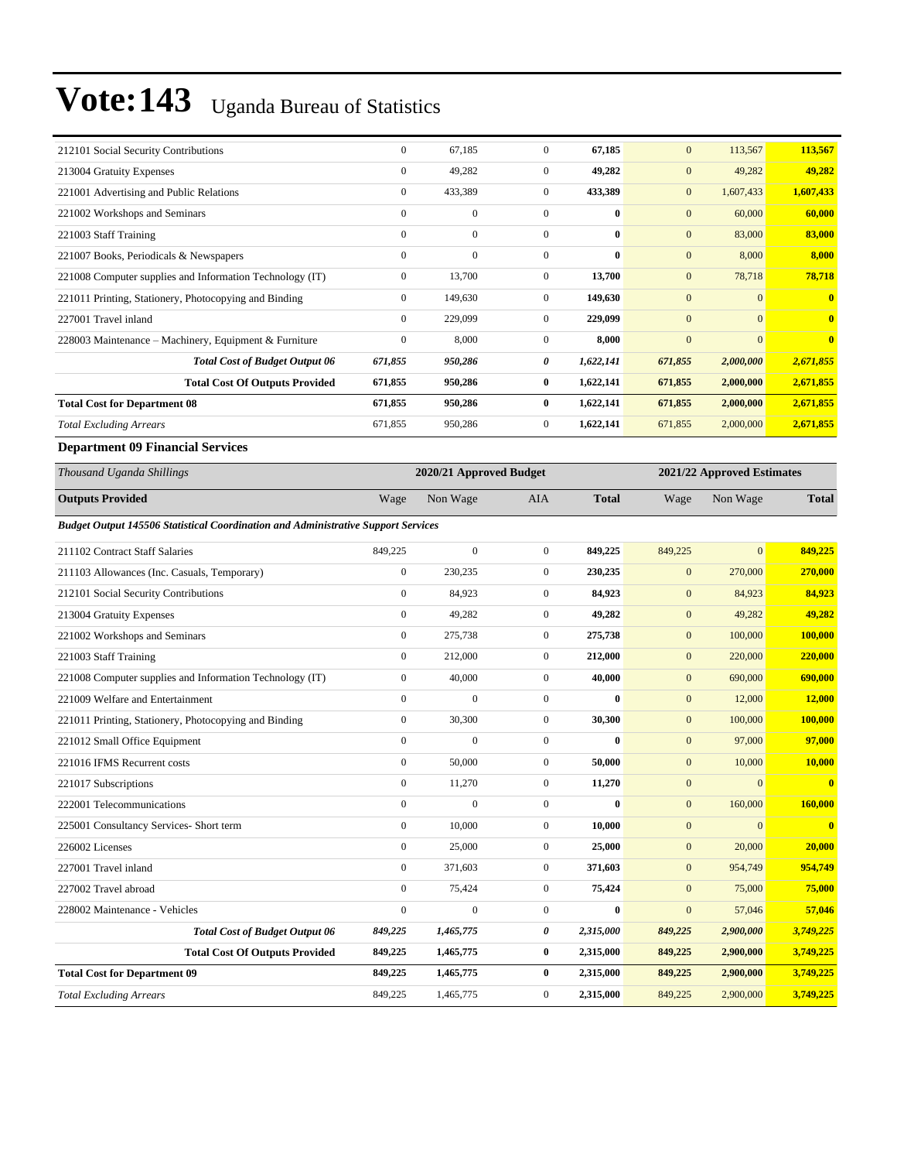| 212101 Social Security Contributions                     | $\mathbf{0}$     | 67,185       | $\Omega$       | 67,185    | $\mathbf{0}$ | 113,567        | 113,567      |
|----------------------------------------------------------|------------------|--------------|----------------|-----------|--------------|----------------|--------------|
| 213004 Gratuity Expenses                                 | $\mathbf{0}$     | 49,282       | $\Omega$       | 49,282    | $\mathbf{0}$ | 49,282         | 49,282       |
| 221001 Advertising and Public Relations                  | $\mathbf{0}$     | 433,389      | $\overline{0}$ | 433,389   | $\mathbf{0}$ | 1,607,433      | 1,607,433    |
| 221002 Workshops and Seminars                            | $\mathbf{0}$     | $\mathbf{0}$ | $\Omega$       | $\bf{0}$  | $\mathbf{0}$ | 60,000         | 60,000       |
| 221003 Staff Training                                    | $\mathbf{0}$     | $\mathbf{0}$ | $\mathbf{0}$   | $\bf{0}$  | $\mathbf{0}$ | 83,000         | 83,000       |
| 221007 Books, Periodicals & Newspapers                   | $\mathbf{0}$     | $\mathbf{0}$ | $\mathbf{0}$   | 0         | $\mathbf{0}$ | 8,000          | 8,000        |
| 221008 Computer supplies and Information Technology (IT) | $\mathbf{0}$     | 13,700       | $\mathbf{0}$   | 13,700    | $\mathbf{0}$ | 78,718         | 78,718       |
| 221011 Printing, Stationery, Photocopying and Binding    | $\mathbf{0}$     | 149,630      | $\overline{0}$ | 149,630   | $\mathbf{0}$ | $\overline{0}$ | $\mathbf{0}$ |
| 227001 Travel inland                                     | $\mathbf{0}$     | 229,099      | $\Omega$       | 229,099   | $\mathbf{0}$ | $\mathbf{0}$   | $\mathbf{0}$ |
| 228003 Maintenance – Machinery, Equipment & Furniture    | $\boldsymbol{0}$ | 8,000        | $\Omega$       | 8,000     | $\mathbf{0}$ | $\mathbf{0}$   | $\mathbf{0}$ |
| <b>Total Cost of Budget Output 06</b>                    | 671,855          | 950,286      | 0              | 1,622,141 | 671,855      | 2,000,000      | 2,671,855    |
| <b>Total Cost Of Outputs Provided</b>                    | 671,855          | 950,286      | $\bf{0}$       | 1,622,141 | 671,855      | 2,000,000      | 2,671,855    |
| <b>Total Cost for Department 08</b>                      | 671,855          | 950,286      | $\mathbf{0}$   | 1,622,141 | 671,855      | 2,000,000      | 2,671,855    |
| <b>Total Excluding Arrears</b>                           | 671,855          | 950,286      | $\overline{0}$ | 1,622,141 | 671,855      | 2,000,000      | 2,671,855    |

#### **Department 09 Financial Services**

| Thousand Uganda Shillings                                                                |                  | 2020/21 Approved Budget |                  | 2021/22 Approved Estimates |              |                  |                         |
|------------------------------------------------------------------------------------------|------------------|-------------------------|------------------|----------------------------|--------------|------------------|-------------------------|
| <b>Outputs Provided</b>                                                                  | Wage             | Non Wage                | <b>AIA</b>       | <b>Total</b>               | Wage         | Non Wage         | <b>Total</b>            |
| <b>Budget Output 145506 Statistical Coordination and Administrative Support Services</b> |                  |                         |                  |                            |              |                  |                         |
| 211102 Contract Staff Salaries                                                           | 849,225          | $\overline{0}$          | $\overline{0}$   | 849,225                    | 849,225      | $\overline{0}$   | 849,225                 |
| 211103 Allowances (Inc. Casuals, Temporary)                                              | $\mathbf{0}$     | 230,235                 | $\overline{0}$   | 230,235                    | $\mathbf{0}$ | 270,000          | 270,000                 |
| 212101 Social Security Contributions                                                     | $\mathbf{0}$     | 84,923                  | $\overline{0}$   | 84,923                     | $\mathbf{0}$ | 84,923           | 84,923                  |
| 213004 Gratuity Expenses                                                                 | $\mathbf{0}$     | 49,282                  | $\overline{0}$   | 49,282                     | $\mathbf{0}$ | 49,282           | 49,282                  |
| 221002 Workshops and Seminars                                                            | $\boldsymbol{0}$ | 275,738                 | $\mathbf{0}$     | 275,738                    | $\mathbf{0}$ | 100,000          | 100,000                 |
| 221003 Staff Training                                                                    | $\mathbf{0}$     | 212,000                 | $\overline{0}$   | 212,000                    | $\mathbf{0}$ | 220,000          | 220,000                 |
| 221008 Computer supplies and Information Technology (IT)                                 | $\mathbf{0}$     | 40,000                  | $\overline{0}$   | 40,000                     | $\mathbf{0}$ | 690,000          | 690,000                 |
| 221009 Welfare and Entertainment                                                         | $\mathbf{0}$     | $\overline{0}$          | $\overline{0}$   | $\bf{0}$                   | $\mathbf{0}$ | 12,000           | 12,000                  |
| 221011 Printing, Stationery, Photocopying and Binding                                    | $\mathbf{0}$     | 30,300                  | $\boldsymbol{0}$ | 30,300                     | $\mathbf{0}$ | 100,000          | 100,000                 |
| 221012 Small Office Equipment                                                            | $\mathbf{0}$     | $\mathbf{0}$            | $\overline{0}$   | $\bf{0}$                   | $\mathbf{0}$ | 97,000           | 97,000                  |
| 221016 IFMS Recurrent costs                                                              | $\mathbf{0}$     | 50,000                  | $\overline{0}$   | 50,000                     | $\mathbf{0}$ | 10,000           | 10,000                  |
| 221017 Subscriptions                                                                     | $\mathbf{0}$     | 11,270                  | $\boldsymbol{0}$ | 11,270                     | $\mathbf{0}$ | $\overline{0}$   | $\overline{\mathbf{0}}$ |
| 222001 Telecommunications                                                                | $\theta$         | $\theta$                | $\overline{0}$   | $\bf{0}$                   | $\mathbf{0}$ | 160,000          | 160,000                 |
| 225001 Consultancy Services- Short term                                                  | $\boldsymbol{0}$ | 10,000                  | $\overline{0}$   | 10,000                     | $\mathbf{0}$ | $\boldsymbol{0}$ | $\overline{\mathbf{0}}$ |
| 226002 Licenses                                                                          | $\mathbf{0}$     | 25,000                  | $\mathbf{0}$     | 25,000                     | $\mathbf{0}$ | 20,000           | 20,000                  |
| 227001 Travel inland                                                                     | $\mathbf{0}$     | 371,603                 | $\mathbf{0}$     | 371,603                    | $\mathbf{0}$ | 954,749          | 954,749                 |
| 227002 Travel abroad                                                                     | $\mathbf{0}$     | 75,424                  | $\boldsymbol{0}$ | 75,424                     | $\mathbf{0}$ | 75,000           | 75,000                  |
| 228002 Maintenance - Vehicles                                                            | $\mathbf{0}$     | $\mathbf{0}$            | $\overline{0}$   | $\bf{0}$                   | $\mathbf{0}$ | 57,046           | 57,046                  |
| <b>Total Cost of Budget Output 06</b>                                                    | 849,225          | 1,465,775               | 0                | 2,315,000                  | 849,225      | 2,900,000        | 3,749,225               |
| <b>Total Cost Of Outputs Provided</b>                                                    | 849,225          | 1,465,775               | 0                | 2,315,000                  | 849,225      | 2,900,000        | 3,749,225               |
| <b>Total Cost for Department 09</b>                                                      | 849,225          | 1,465,775               | $\bf{0}$         | 2,315,000                  | 849,225      | 2,900,000        | 3,749,225               |
| <b>Total Excluding Arrears</b>                                                           | 849,225          | 1,465,775               | $\Omega$         | 2,315,000                  | 849,225      | 2,900,000        | 3,749,225               |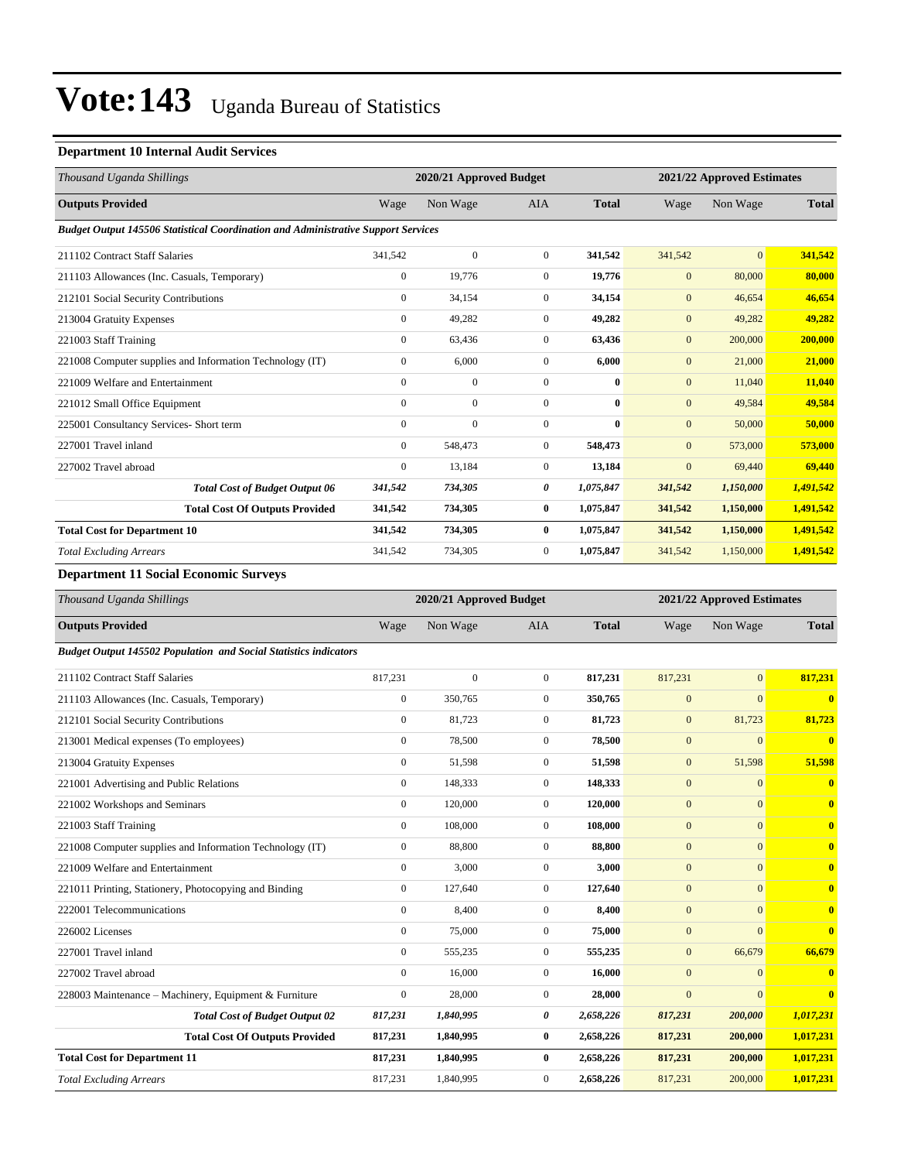#### **Department 10 Internal Audit Services**

| Thousand Uganda Shillings                                                                | 2020/21 Approved Budget<br>2021/22 Approved Estimates |                |                |              |              |                |              |
|------------------------------------------------------------------------------------------|-------------------------------------------------------|----------------|----------------|--------------|--------------|----------------|--------------|
| <b>Outputs Provided</b>                                                                  | Wage                                                  | Non Wage       | <b>AIA</b>     | <b>Total</b> | Wage         | Non Wage       | <b>Total</b> |
| <b>Budget Output 145506 Statistical Coordination and Administrative Support Services</b> |                                                       |                |                |              |              |                |              |
| 211102 Contract Staff Salaries                                                           | 341,542                                               | $\mathbf{0}$   | $\overline{0}$ | 341,542      | 341,542      | $\overline{0}$ | 341,542      |
| 211103 Allowances (Inc. Casuals, Temporary)                                              | $\mathbf{0}$                                          | 19,776         | $\overline{0}$ | 19,776       | $\mathbf{0}$ | 80,000         | 80,000       |
| 212101 Social Security Contributions                                                     | $\overline{0}$                                        | 34,154         | $\Omega$       | 34,154       | $\mathbf{0}$ | 46,654         | 46,654       |
| 213004 Gratuity Expenses                                                                 | $\mathbf{0}$                                          | 49,282         | $\overline{0}$ | 49.282       | $\mathbf{0}$ | 49,282         | 49,282       |
| 221003 Staff Training                                                                    | $\overline{0}$                                        | 63,436         | $\mathbf{0}$   | 63,436       | $\mathbf{0}$ | 200,000        | 200,000      |
| 221008 Computer supplies and Information Technology (IT)                                 | $\overline{0}$                                        | 6,000          | $\Omega$       | 6,000        | $\mathbf{0}$ | 21,000         | 21,000       |
| 221009 Welfare and Entertainment                                                         | $\mathbf{0}$                                          | $\mathbf{0}$   | $\Omega$       | $\mathbf{0}$ | $\mathbf{0}$ | 11,040         | 11,040       |
| 221012 Small Office Equipment                                                            | $\mathbf{0}$                                          | $\overline{0}$ | $\mathbf{0}$   | $\bf{0}$     | $\mathbf{0}$ | 49,584         | 49,584       |
| 225001 Consultancy Services- Short term                                                  | $\mathbf{0}$                                          | $\mathbf{0}$   | $\mathbf{0}$   | $\mathbf{0}$ | $\mathbf{0}$ | 50,000         | 50,000       |
| 227001 Travel inland                                                                     | $\overline{0}$                                        | 548,473        | $\overline{0}$ | 548,473      | $\mathbf{0}$ | 573,000        | 573,000      |
| 227002 Travel abroad                                                                     | $\mathbf{0}$                                          | 13,184         | $\overline{0}$ | 13,184       | $\mathbf{0}$ | 69,440         | 69,440       |
| <b>Total Cost of Budget Output 06</b>                                                    | 341,542                                               | 734,305        | 0              | 1,075,847    | 341,542      | 1,150,000      | 1,491,542    |
| <b>Total Cost Of Outputs Provided</b>                                                    | 341,542                                               | 734,305        | $\bf{0}$       | 1,075,847    | 341,542      | 1,150,000      | 1,491,542    |
| <b>Total Cost for Department 10</b>                                                      | 341,542                                               | 734,305        | $\bf{0}$       | 1,075,847    | 341,542      | 1,150,000      | 1,491,542    |
| <b>Total Excluding Arrears</b>                                                           | 341,542                                               | 734,305        | $\overline{0}$ | 1,075,847    | 341,542      | 1,150,000      | 1,491,542    |

**Department 11 Social Economic Surveys**

| Thousand Uganda Shillings                                               |                  | 2020/21 Approved Budget |                |              | 2021/22 Approved Estimates |              |                         |
|-------------------------------------------------------------------------|------------------|-------------------------|----------------|--------------|----------------------------|--------------|-------------------------|
| <b>Outputs Provided</b>                                                 | Wage             | Non Wage                | <b>AIA</b>     | <b>Total</b> | Wage                       | Non Wage     | <b>Total</b>            |
| <b>Budget Output 145502 Population and Social Statistics indicators</b> |                  |                         |                |              |                            |              |                         |
| 211102 Contract Staff Salaries                                          | 817,231          | $\overline{0}$          | $\overline{0}$ | 817,231      | 817,231                    | $\mathbf{0}$ | 817,231                 |
| 211103 Allowances (Inc. Casuals, Temporary)                             | $\overline{0}$   | 350,765                 | $\overline{0}$ | 350,765      | $\mathbf{0}$               | $\Omega$     | $\overline{\mathbf{0}}$ |
| 212101 Social Security Contributions                                    | $\boldsymbol{0}$ | 81,723                  | $\mathbf{0}$   | 81,723       | $\mathbf{0}$               | 81,723       | 81,723                  |
| 213001 Medical expenses (To employees)                                  | $\mathbf{0}$     | 78,500                  | $\overline{0}$ | 78,500       | $\mathbf{0}$               | $\mathbf{0}$ | $\overline{\mathbf{0}}$ |
| 213004 Gratuity Expenses                                                | $\overline{0}$   | 51,598                  | $\overline{0}$ | 51,598       | $\mathbf{0}$               | 51,598       | 51,598                  |
| 221001 Advertising and Public Relations                                 | $\overline{0}$   | 148,333                 | $\overline{0}$ | 148,333      | $\overline{0}$             | $\mathbf{0}$ | $\overline{\mathbf{0}}$ |
| 221002 Workshops and Seminars                                           | $\overline{0}$   | 120,000                 | $\overline{0}$ | 120,000      | $\overline{0}$             | $\mathbf{0}$ | $\overline{\mathbf{0}}$ |
| 221003 Staff Training                                                   | $\mathbf{0}$     | 108,000                 | $\overline{0}$ | 108,000      | $\mathbf{0}$               | $\mathbf{0}$ | $\bf{0}$                |
| 221008 Computer supplies and Information Technology (IT)                | $\mathbf{0}$     | 88,800                  | $\overline{0}$ | 88,800       | $\overline{0}$             | $\mathbf{0}$ | $\overline{\mathbf{0}}$ |
| 221009 Welfare and Entertainment                                        | $\mathbf{0}$     | 3,000                   | $\mathbf{0}$   | 3,000        | $\mathbf{0}$               | $\mathbf{0}$ | $\bf{0}$                |
| 221011 Printing, Stationery, Photocopying and Binding                   | $\overline{0}$   | 127,640                 | $\overline{0}$ | 127,640      | $\mathbf{0}$               | $\mathbf{0}$ | $\bf{0}$                |
| 222001 Telecommunications                                               | $\mathbf{0}$     | 8,400                   | $\overline{0}$ | 8,400        | $\overline{0}$             | $\mathbf{0}$ | $\bf{0}$                |
| 226002 Licenses                                                         | $\mathbf{0}$     | 75,000                  | $\overline{0}$ | 75,000       | $\mathbf{0}$               | $\mathbf{0}$ | $\bf{0}$                |
| 227001 Travel inland                                                    | $\mathbf{0}$     | 555,235                 | $\overline{0}$ | 555,235      | $\overline{0}$             | 66,679       | 66,679                  |
| 227002 Travel abroad                                                    | $\mathbf{0}$     | 16,000                  | $\overline{0}$ | 16,000       | $\overline{0}$             | $\mathbf{0}$ | $\bf{0}$                |
| 228003 Maintenance - Machinery, Equipment & Furniture                   | $\mathbf{0}$     | 28,000                  | $\overline{0}$ | 28,000       | $\overline{0}$             | $\Omega$     | $\overline{\mathbf{0}}$ |
| <b>Total Cost of Budget Output 02</b>                                   | 817,231          | 1,840,995               | 0              | 2,658,226    | 817,231                    | 200,000      | 1,017,231               |
| <b>Total Cost Of Outputs Provided</b>                                   | 817,231          | 1,840,995               | $\bf{0}$       | 2,658,226    | 817,231                    | 200,000      | 1,017,231               |
| <b>Total Cost for Department 11</b>                                     | 817,231          | 1,840,995               | $\bf{0}$       | 2,658,226    | 817,231                    | 200,000      | 1,017,231               |
| <b>Total Excluding Arrears</b>                                          | 817,231          | 1,840,995               | $\overline{0}$ | 2,658,226    | 817,231                    | 200,000      | 1,017,231               |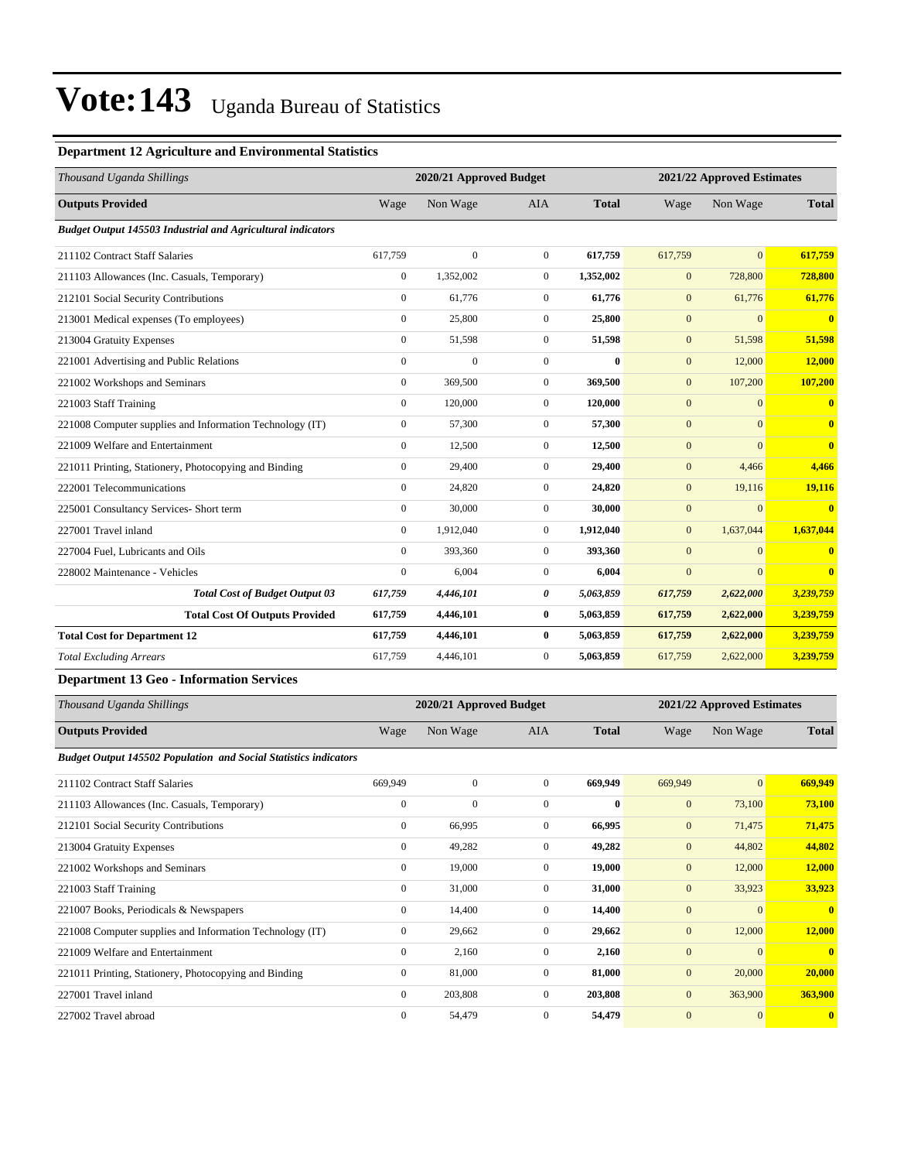#### **Department 12 Agriculture and Environmental Statistics**

| Thousand Uganda Shillings                                          | 2020/21 Approved Budget |                |                  |              | 2021/22 Approved Estimates |                |                         |
|--------------------------------------------------------------------|-------------------------|----------------|------------------|--------------|----------------------------|----------------|-------------------------|
| <b>Outputs Provided</b>                                            | Wage                    | Non Wage       | <b>AIA</b>       | <b>Total</b> | Wage                       | Non Wage       | <b>Total</b>            |
| <b>Budget Output 145503 Industrial and Agricultural indicators</b> |                         |                |                  |              |                            |                |                         |
| 211102 Contract Staff Salaries                                     | 617,759                 | $\overline{0}$ | $\overline{0}$   | 617,759      | 617,759                    | $\overline{0}$ | 617,759                 |
| 211103 Allowances (Inc. Casuals, Temporary)                        | $\mathbf{0}$            | 1,352,002      | $\overline{0}$   | 1,352,002    | $\mathbf{0}$               | 728,800        | 728,800                 |
| 212101 Social Security Contributions                               | $\mathbf{0}$            | 61.776         | $\overline{0}$   | 61,776       | $\mathbf{0}$               | 61,776         | 61,776                  |
| 213001 Medical expenses (To employees)                             | $\mathbf{0}$            | 25,800         | $\overline{0}$   | 25,800       | $\mathbf{0}$               | $\mathbf{0}$   | $\overline{\mathbf{0}}$ |
| 213004 Gratuity Expenses                                           | $\mathbf{0}$            | 51,598         | $\overline{0}$   | 51,598       | $\mathbf{0}$               | 51,598         | 51,598                  |
| 221001 Advertising and Public Relations                            | $\mathbf{0}$            | $\mathbf{0}$   | $\overline{0}$   | $\bf{0}$     | $\mathbf{0}$               | 12,000         | 12,000                  |
| 221002 Workshops and Seminars                                      | $\mathbf{0}$            | 369,500        | $\overline{0}$   | 369,500      | $\mathbf{0}$               | 107,200        | 107,200                 |
| 221003 Staff Training                                              | $\Omega$                | 120,000        | $\Omega$         | 120,000      | $\mathbf{0}$               | $\Omega$       | $\overline{\mathbf{0}}$ |
| 221008 Computer supplies and Information Technology (IT)           | $\mathbf{0}$            | 57,300         | $\overline{0}$   | 57,300       | $\mathbf{0}$               | $\overline{0}$ | $\mathbf{0}$            |
| 221009 Welfare and Entertainment                                   | $\Omega$                | 12,500         | $\overline{0}$   | 12,500       | $\mathbf{0}$               | $\overline{0}$ | $\mathbf{0}$            |
| 221011 Printing, Stationery, Photocopying and Binding              | $\mathbf{0}$            | 29,400         | $\overline{0}$   | 29,400       | $\mathbf{0}$               | 4,466          | 4,466                   |
| 222001 Telecommunications                                          | $\mathbf{0}$            | 24,820         | $\overline{0}$   | 24,820       | $\mathbf{0}$               | 19,116         | 19,116                  |
| 225001 Consultancy Services- Short term                            | $\mathbf{0}$            | 30,000         | $\overline{0}$   | 30,000       | $\mathbf{0}$               | $\mathbf{0}$   | $\overline{0}$          |
| 227001 Travel inland                                               | $\mathbf{0}$            | 1,912,040      | $\overline{0}$   | 1,912,040    | $\mathbf{0}$               | 1,637,044      | 1,637,044               |
| 227004 Fuel. Lubricants and Oils                                   | $\mathbf{0}$            | 393,360        | $\overline{0}$   | 393,360      | $\mathbf{0}$               | $\mathbf{0}$   | $\mathbf{0}$            |
| 228002 Maintenance - Vehicles                                      | $\mathbf{0}$            | 6,004          | $\overline{0}$   | 6,004        | $\mathbf{0}$               | $\mathbf{0}$   | $\mathbf{0}$            |
| <b>Total Cost of Budget Output 03</b>                              | 617,759                 | 4,446,101      | 0                | 5,063,859    | 617,759                    | 2,622,000      | 3,239,759               |
| <b>Total Cost Of Outputs Provided</b>                              | 617,759                 | 4,446,101      | $\bf{0}$         | 5,063,859    | 617,759                    | 2,622,000      | 3,239,759               |
| <b>Total Cost for Department 12</b>                                | 617,759                 | 4,446,101      | $\bf{0}$         | 5,063,859    | 617,759                    | 2,622,000      | 3,239,759               |
| <b>Total Excluding Arrears</b>                                     | 617,759                 | 4,446,101      | $\boldsymbol{0}$ | 5,063,859    | 617,759                    | 2,622,000      | 3,239,759               |

#### **Department 13 Geo - Information Services**

| Thousand Uganda Shillings                                               |                | 2020/21 Approved Budget |                |              | 2021/22 Approved Estimates |              |                         |  |
|-------------------------------------------------------------------------|----------------|-------------------------|----------------|--------------|----------------------------|--------------|-------------------------|--|
| <b>Outputs Provided</b>                                                 | Wage           | Non Wage                | <b>AIA</b>     | <b>Total</b> | Wage                       | Non Wage     | <b>Total</b>            |  |
| <b>Budget Output 145502 Population and Social Statistics indicators</b> |                |                         |                |              |                            |              |                         |  |
| 211102 Contract Staff Salaries                                          | 669,949        | $\mathbf{0}$            | $\overline{0}$ | 669,949      | 669,949                    | $\mathbf{0}$ | 669,949                 |  |
| 211103 Allowances (Inc. Casuals, Temporary)                             | $\mathbf{0}$   | $\mathbf{0}$            | $\mathbf{0}$   | $\mathbf{0}$ | $\mathbf{0}$               | 73,100       | 73,100                  |  |
| 212101 Social Security Contributions                                    | $\overline{0}$ | 66,995                  | $\mathbf{0}$   | 66,995       | $\mathbf{0}$               | 71,475       | 71,475                  |  |
| 213004 Gratuity Expenses                                                | $\mathbf{0}$   | 49,282                  | $\Omega$       | 49,282       | $\mathbf{0}$               | 44,802       | 44,802                  |  |
| 221002 Workshops and Seminars                                           | $\overline{0}$ | 19,000                  | $\overline{0}$ | 19,000       | $\mathbf{0}$               | 12,000       | 12,000                  |  |
| 221003 Staff Training                                                   | $\mathbf{0}$   | 31,000                  | $\mathbf{0}$   | 31,000       | $\mathbf{0}$               | 33,923       | 33,923                  |  |
| 221007 Books, Periodicals & Newspapers                                  | $\mathbf{0}$   | 14,400                  | $\mathbf{0}$   | 14,400       | $\mathbf{0}$               | $\Omega$     | $\mathbf{0}$            |  |
| 221008 Computer supplies and Information Technology (IT)                | $\overline{0}$ | 29,662                  | $\mathbf{0}$   | 29,662       | $\mathbf{0}$               | 12,000       | 12,000                  |  |
| 221009 Welfare and Entertainment                                        | $\mathbf{0}$   | 2,160                   | $\mathbf{0}$   | 2,160        | $\mathbf{0}$               | $\mathbf{0}$ | $\mathbf{0}$            |  |
| 221011 Printing, Stationery, Photocopying and Binding                   | $\overline{0}$ | 81,000                  | $\overline{0}$ | 81,000       | $\mathbf{0}$               | 20,000       | 20,000                  |  |
| 227001 Travel inland                                                    | $\Omega$       | 203,808                 | $\mathbf{0}$   | 203,808      | $\mathbf{0}$               | 363,900      | 363,900                 |  |
| 227002 Travel abroad                                                    | $\mathbf{0}$   | 54,479                  | $\mathbf{0}$   | 54,479       | $\overline{0}$             | $\mathbf{0}$ | $\overline{\mathbf{0}}$ |  |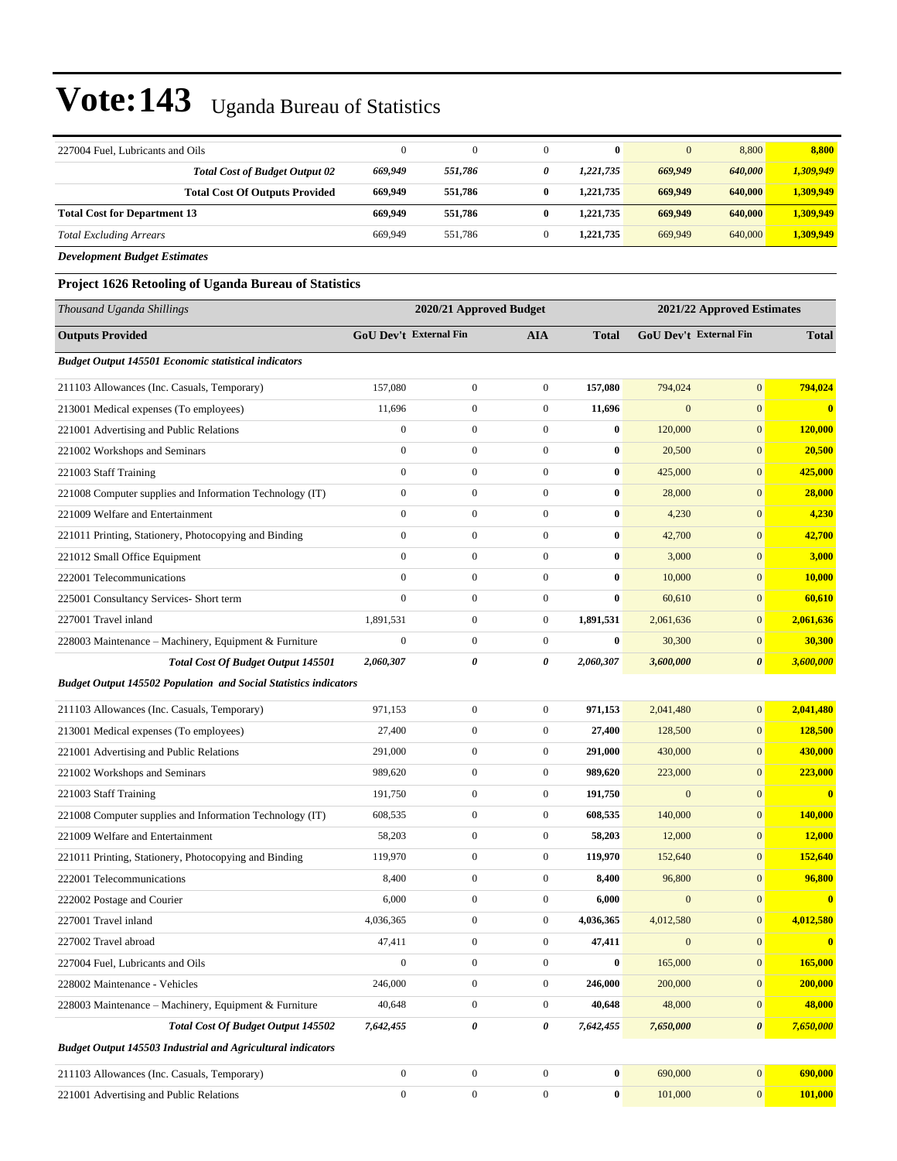| 227004 Fuel, Lubricants and Oils                                        | $\boldsymbol{0}$ | $\boldsymbol{0}$        | $\boldsymbol{0}$ | $\bf{0}$         | $\mathbf{0}$           | 8,800                      | 8,800            |
|-------------------------------------------------------------------------|------------------|-------------------------|------------------|------------------|------------------------|----------------------------|------------------|
| <b>Total Cost of Budget Output 02</b>                                   | 669,949          | 551,786                 | 0                | 1,221,735        | 669,949                | 640,000                    | 1,309,949        |
| <b>Total Cost Of Outputs Provided</b>                                   | 669,949          | 551,786                 | 0                | 1,221,735        | 669,949                | 640,000                    | 1,309,949        |
| <b>Total Cost for Department 13</b>                                     | 669,949          | 551,786                 | 0                | 1,221,735        | 669,949                | 640,000                    | 1,309,949        |
| <b>Total Excluding Arrears</b>                                          | 669,949          | 551,786                 | $\mathbf{0}$     | 1,221,735        | 669,949                | 640,000                    | 1,309,949        |
| <b>Development Budget Estimates</b>                                     |                  |                         |                  |                  |                        |                            |                  |
| Project 1626 Retooling of Uganda Bureau of Statistics                   |                  |                         |                  |                  |                        |                            |                  |
| Thousand Uganda Shillings                                               |                  | 2020/21 Approved Budget |                  |                  |                        | 2021/22 Approved Estimates |                  |
| <b>Outputs Provided</b>                                                 |                  | GoU Dev't External Fin  | <b>AIA</b>       | <b>Total</b>     | GoU Dev't External Fin |                            | <b>Total</b>     |
| <b>Budget Output 145501 Economic statistical indicators</b>             |                  |                         |                  |                  |                        |                            |                  |
| 211103 Allowances (Inc. Casuals, Temporary)                             | 157,080          | $\boldsymbol{0}$        | $\boldsymbol{0}$ | 157,080          | 794,024                | $\boldsymbol{0}$           | 794,024          |
| 213001 Medical expenses (To employees)                                  | 11,696           | $\boldsymbol{0}$        | $\boldsymbol{0}$ | 11,696           | $\mathbf{0}$           | $\mathbf{0}$               | $\bf{0}$         |
| 221001 Advertising and Public Relations                                 | $\boldsymbol{0}$ | $\boldsymbol{0}$        | $\boldsymbol{0}$ | $\bf{0}$         | 120,000                | $\mathbf{0}$               | 120,000          |
| 221002 Workshops and Seminars                                           | $\mathbf{0}$     | $\boldsymbol{0}$        | $\boldsymbol{0}$ | $\bf{0}$         | 20,500                 | $\mathbf{0}$               | 20,500           |
| 221003 Staff Training                                                   | $\boldsymbol{0}$ | $\boldsymbol{0}$        | $\boldsymbol{0}$ | $\bf{0}$         | 425,000                | $\mathbf{0}$               | 425,000          |
| 221008 Computer supplies and Information Technology (IT)                | $\boldsymbol{0}$ | $\boldsymbol{0}$        | $\boldsymbol{0}$ | $\bf{0}$         | 28,000                 | $\mathbf{0}$               | 28,000           |
| 221009 Welfare and Entertainment                                        | $\mathbf{0}$     | $\boldsymbol{0}$        | $\boldsymbol{0}$ | $\bf{0}$         | 4,230                  | $\mathbf{0}$               | 4,230            |
| 221011 Printing, Stationery, Photocopying and Binding                   | $\boldsymbol{0}$ | $\boldsymbol{0}$        | $\boldsymbol{0}$ | $\bf{0}$         | 42,700                 | $\mathbf{0}$               | 42,700           |
| 221012 Small Office Equipment                                           | $\mathbf{0}$     | $\boldsymbol{0}$        | $\boldsymbol{0}$ | $\bf{0}$         | 3,000                  | $\mathbf{0}$               | 3,000            |
| 222001 Telecommunications                                               | $\mathbf{0}$     | $\boldsymbol{0}$        | $\boldsymbol{0}$ | $\bf{0}$         | 10,000                 | $\mathbf{0}$               | 10,000           |
| 225001 Consultancy Services- Short term                                 | $\mathbf{0}$     | $\boldsymbol{0}$        | $\boldsymbol{0}$ | $\bf{0}$         | 60,610                 | $\mathbf{0}$               | 60,610           |
| 227001 Travel inland                                                    | 1,891,531        | $\boldsymbol{0}$        | $\boldsymbol{0}$ | 1,891,531        | 2,061,636              | $\mathbf{0}$               | 2,061,636        |
| 228003 Maintenance – Machinery, Equipment & Furniture                   | $\boldsymbol{0}$ | $\boldsymbol{0}$        | $\boldsymbol{0}$ | $\bf{0}$         | 30,300                 | $\mathbf{0}$               | 30,300           |
| <b>Total Cost Of Budget Output 145501</b>                               | 2,060,307        | 0                       | 0                | 2,060,307        | 3,600,000              | $\boldsymbol{\theta}$      | 3,600,000        |
| <b>Budget Output 145502 Population and Social Statistics indicators</b> |                  |                         |                  |                  |                        |                            |                  |
| 211103 Allowances (Inc. Casuals, Temporary)                             | 971,153          | $\mathbf{0}$            | $\boldsymbol{0}$ | 971,153          | 2,041,480              | $\mathbf{0}$               | 2,041,480        |
| 213001 Medical expenses (To employees)                                  | 27,400           | $\boldsymbol{0}$        | $\boldsymbol{0}$ | 27,400           | 128,500                | $\mathbf{0}$               | 128,500          |
| 221001 Advertising and Public Relations                                 | 291,000          | $\boldsymbol{0}$        | $\boldsymbol{0}$ | 291,000          | 430,000                | $\mathbf{0}$               | 430,000          |
| 221002 Workshops and Seminars                                           | 989,620          | $\overline{0}$          | $\boldsymbol{0}$ | 989,620          | 223,000                | $\boldsymbol{0}$           | 223,000          |
| 221003 Staff Training                                                   | 191,750          | 0                       | $\boldsymbol{0}$ | 191,750          | $\mathbf{0}$           | $\boldsymbol{0}$           |                  |
| 221008 Computer supplies and Information Technology (IT)                | 608,535          | $\boldsymbol{0}$        | $\mathbf{0}$     | 608,535          | 140,000                | $\mathbf{0}$               | 140,000          |
| 221009 Welfare and Entertainment                                        | 58,203           | $\boldsymbol{0}$        | $\boldsymbol{0}$ | 58,203           | 12,000                 | $\mathbf{0}$               | 12,000           |
| 221011 Printing, Stationery, Photocopying and Binding                   | 119,970          | $\boldsymbol{0}$        | $\boldsymbol{0}$ | 119,970          | 152,640                | $\mathbf{0}$               | 152,640          |
| 222001 Telecommunications                                               | 8,400            | $\boldsymbol{0}$        | $\boldsymbol{0}$ | 8,400            | 96,800                 | $\boldsymbol{0}$           | 96,800           |
| 222002 Postage and Courier                                              | 6,000            | $\boldsymbol{0}$        | $\boldsymbol{0}$ | 6,000            | $\boldsymbol{0}$       | $\boldsymbol{0}$           | $\boldsymbol{0}$ |
| 227001 Travel inland                                                    | 4,036,365        | $\boldsymbol{0}$        | $\boldsymbol{0}$ | 4,036,365        | 4,012,580              | $\mathbf{0}$               | 4,012,580        |
| 227002 Travel abroad                                                    | 47,411           | $\boldsymbol{0}$        | $\boldsymbol{0}$ | 47,411           | $\boldsymbol{0}$       | $\mathbf{0}$               | $\bf{0}$         |
| 227004 Fuel, Lubricants and Oils                                        | $\boldsymbol{0}$ | $\boldsymbol{0}$        | $\boldsymbol{0}$ | $\bf{0}$         | 165,000                | $\mathbf{0}$               | 165,000          |
| 228002 Maintenance - Vehicles                                           | 246,000          | $\boldsymbol{0}$        | $\boldsymbol{0}$ | 246,000          | 200,000                | $\mathbf{0}$               | 200,000          |
| 228003 Maintenance - Machinery, Equipment & Furniture                   | 40,648           | $\boldsymbol{0}$        | $\boldsymbol{0}$ | 40,648           | 48,000                 | $\boldsymbol{0}$           | 48,000           |
| Total Cost Of Budget Output 145502                                      | 7,642,455        | 0                       | 0                | 7,642,455        | 7,650,000              | $\boldsymbol{\theta}$      | 7,650,000        |
| <b>Budget Output 145503 Industrial and Agricultural indicators</b>      |                  |                         |                  |                  |                        |                            |                  |
| 211103 Allowances (Inc. Casuals, Temporary)                             | $\boldsymbol{0}$ | $\boldsymbol{0}$        | $\boldsymbol{0}$ | 0                | 690,000                | $\mathbf{0}$               | 690,000          |
| 221001 Advertising and Public Relations                                 | $\boldsymbol{0}$ | $\boldsymbol{0}$        | $\boldsymbol{0}$ | $\boldsymbol{0}$ | 101,000                | $\mathbf{0}$               | 101,000          |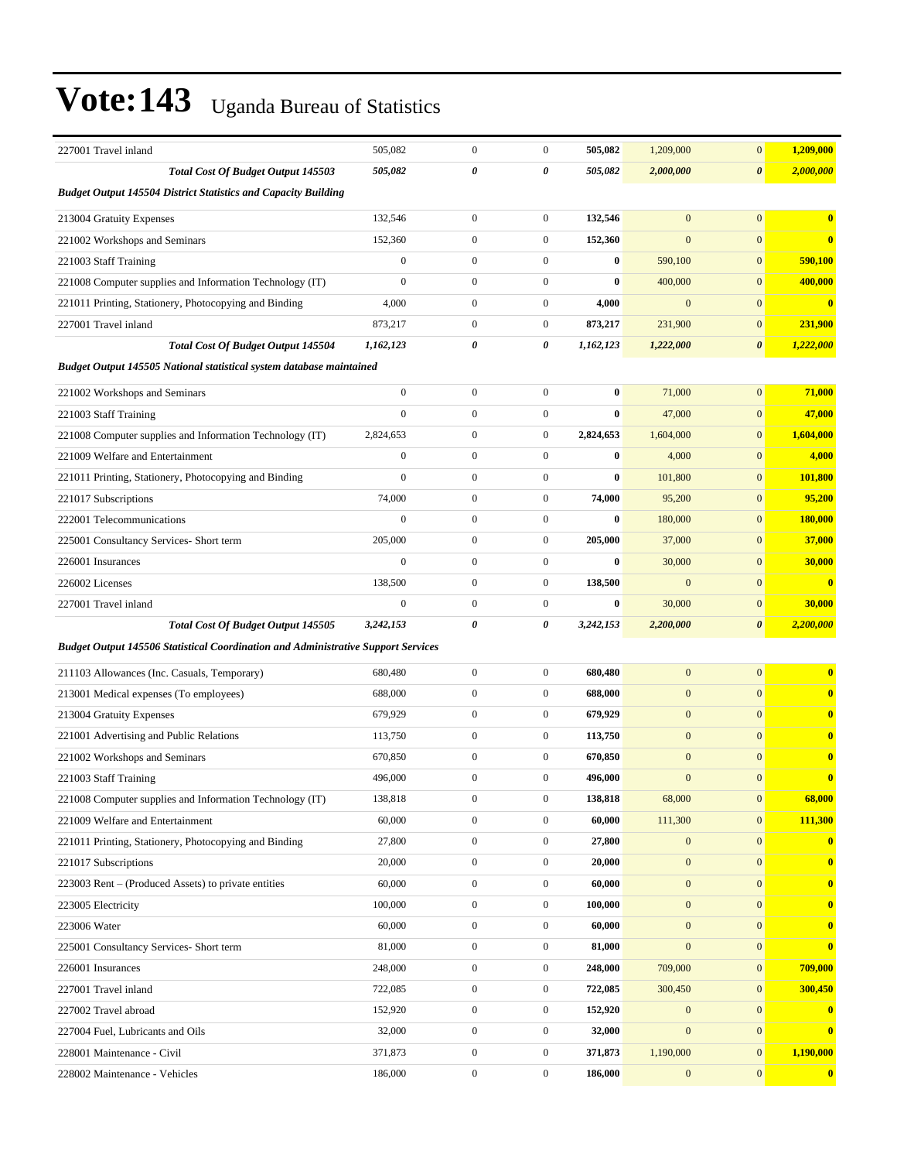| 227001 Travel inland                                                                     | 505,082          | $\boldsymbol{0}$ | $\boldsymbol{0}$ | 505,082   | 1,209,000        | $\mathbf{0}$          | 1,209,000               |
|------------------------------------------------------------------------------------------|------------------|------------------|------------------|-----------|------------------|-----------------------|-------------------------|
| Total Cost Of Budget Output 145503                                                       | 505,082          | 0                | 0                | 505,082   | 2,000,000        | $\boldsymbol{\theta}$ | 2,000,000               |
| <b>Budget Output 145504 District Statistics and Capacity Building</b>                    |                  |                  |                  |           |                  |                       |                         |
| 213004 Gratuity Expenses                                                                 | 132,546          | $\mathbf{0}$     | $\boldsymbol{0}$ | 132,546   | $\overline{0}$   | $\overline{0}$        | $\overline{\mathbf{0}}$ |
| 221002 Workshops and Seminars                                                            | 152,360          | $\boldsymbol{0}$ | $\boldsymbol{0}$ | 152,360   | $\mathbf{0}$     | $\mathbf{0}$          | $\overline{\mathbf{0}}$ |
| 221003 Staff Training                                                                    | $\boldsymbol{0}$ | $\mathbf{0}$     | $\boldsymbol{0}$ | $\bf{0}$  | 590,100          | $\mathbf{0}$          | 590,100                 |
| 221008 Computer supplies and Information Technology (IT)                                 | $\mathbf{0}$     | $\boldsymbol{0}$ | $\boldsymbol{0}$ | $\bf{0}$  | 400,000          | $\mathbf{0}$          | 400,000                 |
| 221011 Printing, Stationery, Photocopying and Binding                                    | 4,000            | $\mathbf{0}$     | $\boldsymbol{0}$ | 4,000     | $\mathbf{0}$     | $\mathbf{0}$          | $\overline{\mathbf{0}}$ |
| 227001 Travel inland                                                                     | 873,217          | $\mathbf{0}$     | $\boldsymbol{0}$ | 873,217   | 231,900          | $\mathbf{0}$          | 231,900                 |
| Total Cost Of Budget Output 145504                                                       | 1,162,123        | 0                | 0                | 1,162,123 | 1,222,000        | $\boldsymbol{\theta}$ | 1,222,000               |
| Budget Output 145505 National statistical system database maintained                     |                  |                  |                  |           |                  |                       |                         |
| 221002 Workshops and Seminars                                                            | $\boldsymbol{0}$ | $\boldsymbol{0}$ | $\boldsymbol{0}$ | $\bf{0}$  | 71,000           | $\mathbf{0}$          | 71,000                  |
| 221003 Staff Training                                                                    | $\mathbf{0}$     | $\boldsymbol{0}$ | $\boldsymbol{0}$ | 0         | 47,000           | $\boldsymbol{0}$      | 47,000                  |
| 221008 Computer supplies and Information Technology (IT)                                 | 2,824,653        | $\boldsymbol{0}$ | $\boldsymbol{0}$ | 2,824,653 | 1,604,000        | $\mathbf{0}$          | 1,604,000               |
| 221009 Welfare and Entertainment                                                         | $\boldsymbol{0}$ | $\boldsymbol{0}$ | $\boldsymbol{0}$ | $\bf{0}$  | 4,000            | $\mathbf{0}$          | 4,000                   |
| 221011 Printing, Stationery, Photocopying and Binding                                    | $\mathbf{0}$     | $\boldsymbol{0}$ | $\boldsymbol{0}$ | 0         | 101,800          | $\mathbf{0}$          | 101,800                 |
| 221017 Subscriptions                                                                     | 74,000           | $\mathbf{0}$     | $\boldsymbol{0}$ | 74,000    | 95,200           | $\mathbf{0}$          | 95,200                  |
| 222001 Telecommunications                                                                | $\mathbf{0}$     | $\boldsymbol{0}$ | $\boldsymbol{0}$ | 0         | 180,000          | $\mathbf{0}$          | 180,000                 |
| 225001 Consultancy Services- Short term                                                  | 205,000          | $\boldsymbol{0}$ | $\mathbf{0}$     | 205,000   | 37,000           | $\mathbf{0}$          | 37,000                  |
| 226001 Insurances                                                                        | $\boldsymbol{0}$ | $\boldsymbol{0}$ | $\boldsymbol{0}$ | $\bf{0}$  | 30,000           | $\mathbf{0}$          | 30,000                  |
| 226002 Licenses                                                                          | 138,500          | $\boldsymbol{0}$ | $\boldsymbol{0}$ | 138,500   | $\mathbf{0}$     | $\mathbf{0}$          | $\overline{\mathbf{0}}$ |
| 227001 Travel inland                                                                     | $\boldsymbol{0}$ | $\mathbf{0}$     | $\boldsymbol{0}$ | $\bf{0}$  | 30,000           | $\mathbf{0}$          | 30,000                  |
| Total Cost Of Budget Output 145505                                                       | 3,242,153        | $\pmb{\theta}$   | 0                | 3,242,153 | 2,200,000        | $\boldsymbol{\theta}$ | 2,200,000               |
| <b>Budget Output 145506 Statistical Coordination and Administrative Support Services</b> |                  |                  |                  |           |                  |                       |                         |
| 211103 Allowances (Inc. Casuals, Temporary)                                              | 680,480          | $\boldsymbol{0}$ | $\boldsymbol{0}$ | 680,480   | $\mathbf{0}$     | $\mathbf{0}$          | $\overline{\mathbf{0}}$ |
| 213001 Medical expenses (To employees)                                                   | 688,000          | $\mathbf{0}$     | $\boldsymbol{0}$ | 688,000   | $\mathbf{0}$     | $\mathbf{0}$          | $\mathbf{0}$            |
| 213004 Gratuity Expenses                                                                 | 679,929          | $\boldsymbol{0}$ | $\boldsymbol{0}$ | 679,929   | $\mathbf{0}$     | $\mathbf{0}$          | $\mathbf{0}$            |
| 221001 Advertising and Public Relations                                                  | 113,750          | $\boldsymbol{0}$ | $\mathbf{0}$     | 113,750   | $\mathbf{0}$     | $\mathbf{0}$          | $\mathbf{0}$            |
| 221002 Workshops and Seminars                                                            | 670,850          | $\boldsymbol{0}$ | $\boldsymbol{0}$ | 670,850   | $\mathbf{0}$     | $\mathbf{0}$          | $\mathbf{0}$            |
| 221003 Staff Training                                                                    | 496,000          | $\mathbf{0}$     | $\boldsymbol{0}$ | 496,000   | $\mathbf{0}$     | $\mathbf{0}$          | $\overline{\mathbf{0}}$ |
| 221008 Computer supplies and Information Technology (IT)                                 | 138,818          | $\boldsymbol{0}$ | $\boldsymbol{0}$ | 138,818   | 68,000           | $\overline{0}$        | 68,000                  |
| 221009 Welfare and Entertainment                                                         | 60,000           | $\boldsymbol{0}$ | $\boldsymbol{0}$ | 60,000    | 111,300          | $\boldsymbol{0}$      | 111,300                 |
| 221011 Printing, Stationery, Photocopying and Binding                                    | 27,800           | $\boldsymbol{0}$ | $\boldsymbol{0}$ | 27,800    | $\mathbf{0}$     | $\boldsymbol{0}$      | $\bf{0}$                |
| 221017 Subscriptions                                                                     | 20,000           | $\boldsymbol{0}$ | $\boldsymbol{0}$ | 20,000    | $\boldsymbol{0}$ | $\mathbf{0}$          | $\bf{0}$                |
| 223003 Rent – (Produced Assets) to private entities                                      | 60,000           | $\boldsymbol{0}$ | $\boldsymbol{0}$ | 60,000    | $\boldsymbol{0}$ | $\boldsymbol{0}$      | $\bf{0}$                |
| 223005 Electricity                                                                       | 100,000          | $\boldsymbol{0}$ | $\boldsymbol{0}$ | 100,000   | $\boldsymbol{0}$ | $\mathbf{0}$          | $\bf{0}$                |
| 223006 Water                                                                             | 60,000           | $\boldsymbol{0}$ | $\boldsymbol{0}$ | 60,000    | $\mathbf{0}$     | $\mathbf{0}$          | $\bf{0}$                |
| 225001 Consultancy Services- Short term                                                  | 81,000           | $\boldsymbol{0}$ | $\boldsymbol{0}$ | 81,000    | $\boldsymbol{0}$ | $\boldsymbol{0}$      | $\bf{0}$                |
| 226001 Insurances                                                                        | 248,000          | $\boldsymbol{0}$ | $\boldsymbol{0}$ | 248,000   | 709,000          | $\mathbf{0}$          | 709,000                 |
| 227001 Travel inland                                                                     | 722,085          | $\boldsymbol{0}$ | $\boldsymbol{0}$ | 722,085   | 300,450          | $\boldsymbol{0}$      | 300,450                 |
| 227002 Travel abroad                                                                     | 152,920          | $\boldsymbol{0}$ | $\boldsymbol{0}$ | 152,920   | $\boldsymbol{0}$ | $\mathbf{0}$          | $\bf{0}$                |
| 227004 Fuel, Lubricants and Oils                                                         | 32,000           | $\boldsymbol{0}$ | $\boldsymbol{0}$ | 32,000    | $\mathbf{0}$     | $\boldsymbol{0}$      | $\bf{0}$                |
| 228001 Maintenance - Civil                                                               | 371,873          | $\boldsymbol{0}$ | $\boldsymbol{0}$ | 371,873   | 1,190,000        | $\boldsymbol{0}$      | 1,190,000               |
| 228002 Maintenance - Vehicles                                                            | 186,000          | $\boldsymbol{0}$ | $\boldsymbol{0}$ | 186,000   | $\boldsymbol{0}$ | $\mathbf{0}$          | $\overline{\mathbf{0}}$ |